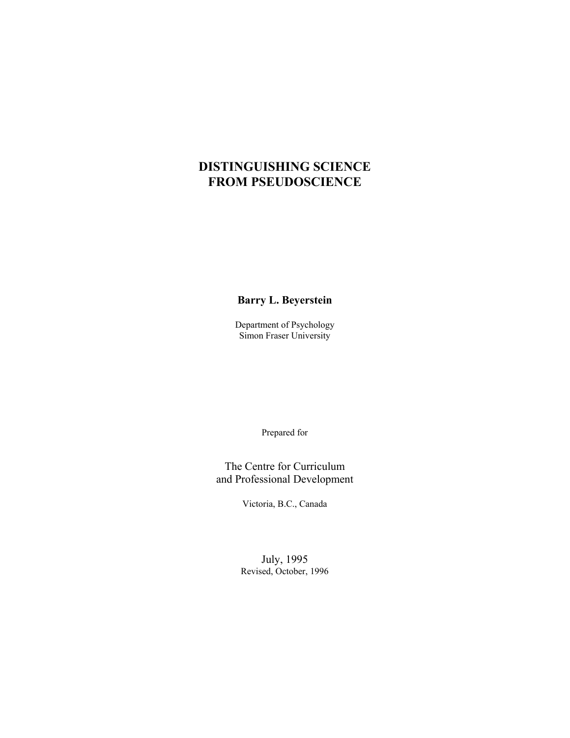# **DISTINGUISHING SCIENCE FROM PSEUDOSCIENCE**

**Barry L. Beyerstein**

Department of Psychology Simon Fraser University

Prepared for

The Centre for Curriculum and Professional Development

Victoria, B.C., Canada

July, 1995 Revised, October, 1996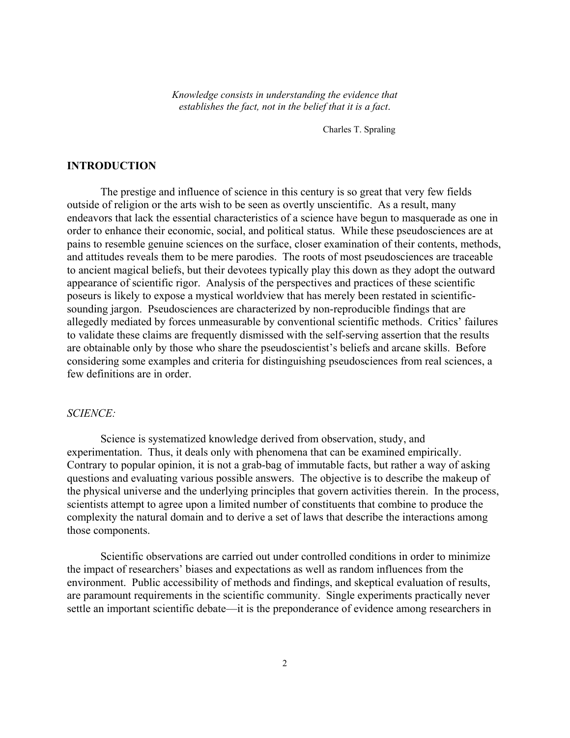*Knowledge consists in understanding the evidence that establishes the fact, not in the belief that it is a fact*.

Charles T. Spraling

# **INTRODUCTION**

The prestige and influence of science in this century is so great that very few fields outside of religion or the arts wish to be seen as overtly unscientific. As a result, many endeavors that lack the essential characteristics of a science have begun to masquerade as one in order to enhance their economic, social, and political status. While these pseudosciences are at pains to resemble genuine sciences on the surface, closer examination of their contents, methods, and attitudes reveals them to be mere parodies. The roots of most pseudosciences are traceable to ancient magical beliefs, but their devotees typically play this down as they adopt the outward appearance of scientific rigor. Analysis of the perspectives and practices of these scientific poseurs is likely to expose a mystical worldview that has merely been restated in scientificsounding jargon. Pseudosciences are characterized by non-reproducible findings that are allegedly mediated by forces unmeasurable by conventional scientific methods. Critics' failures to validate these claims are frequently dismissed with the self-serving assertion that the results are obtainable only by those who share the pseudoscientist's beliefs and arcane skills. Before considering some examples and criteria for distinguishing pseudosciences from real sciences, a few definitions are in order.

# *SCIENCE:*

Science is systematized knowledge derived from observation, study, and experimentation. Thus, it deals only with phenomena that can be examined empirically. Contrary to popular opinion, it is not a grab-bag of immutable facts, but rather a way of asking questions and evaluating various possible answers. The objective is to describe the makeup of the physical universe and the underlying principles that govern activities therein. In the process, scientists attempt to agree upon a limited number of constituents that combine to produce the complexity the natural domain and to derive a set of laws that describe the interactions among those components.

Scientific observations are carried out under controlled conditions in order to minimize the impact of researchers' biases and expectations as well as random influences from the environment. Public accessibility of methods and findings, and skeptical evaluation of results, are paramount requirements in the scientific community. Single experiments practically never settle an important scientific debate—it is the preponderance of evidence among researchers in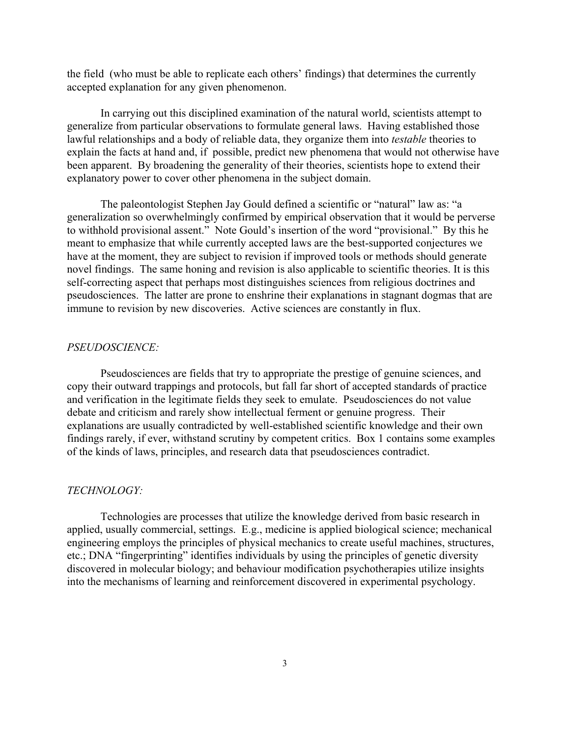the field (who must be able to replicate each others' findings) that determines the currently accepted explanation for any given phenomenon.

In carrying out this disciplined examination of the natural world, scientists attempt to generalize from particular observations to formulate general laws. Having established those lawful relationships and a body of reliable data, they organize them into *testable* theories to explain the facts at hand and, if possible, predict new phenomena that would not otherwise have been apparent. By broadening the generality of their theories, scientists hope to extend their explanatory power to cover other phenomena in the subject domain.

The paleontologist Stephen Jay Gould defined a scientific or "natural" law as: "a generalization so overwhelmingly confirmed by empirical observation that it would be perverse to withhold provisional assent." Note Gould's insertion of the word "provisional." By this he meant to emphasize that while currently accepted laws are the best-supported conjectures we have at the moment, they are subject to revision if improved tools or methods should generate novel findings. The same honing and revision is also applicable to scientific theories. It is this self-correcting aspect that perhaps most distinguishes sciences from religious doctrines and pseudosciences. The latter are prone to enshrine their explanations in stagnant dogmas that are immune to revision by new discoveries. Active sciences are constantly in flux.

#### *PSEUDOSCIENCE:*

Pseudosciences are fields that try to appropriate the prestige of genuine sciences, and copy their outward trappings and protocols, but fall far short of accepted standards of practice and verification in the legitimate fields they seek to emulate. Pseudosciences do not value debate and criticism and rarely show intellectual ferment or genuine progress. Their explanations are usually contradicted by well-established scientific knowledge and their own findings rarely, if ever, withstand scrutiny by competent critics. Box 1 contains some examples of the kinds of laws, principles, and research data that pseudosciences contradict.

### *TECHNOLOGY:*

Technologies are processes that utilize the knowledge derived from basic research in applied, usually commercial, settings. E.g., medicine is applied biological science; mechanical engineering employs the principles of physical mechanics to create useful machines, structures, etc.; DNA "fingerprinting" identifies individuals by using the principles of genetic diversity discovered in molecular biology; and behaviour modification psychotherapies utilize insights into the mechanisms of learning and reinforcement discovered in experimental psychology.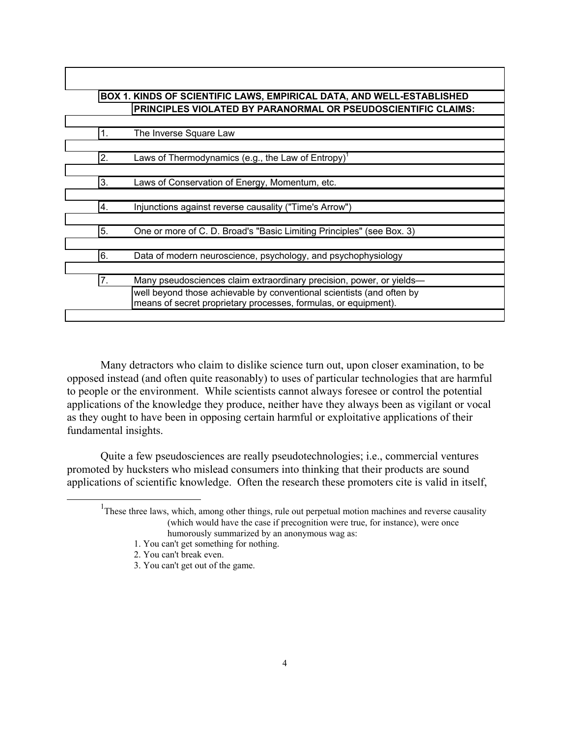|                  | BOX 1. KINDS OF SCIENTIFIC LAWS, EMPIRICAL DATA, AND WELL-ESTABLISHED                                                                    |
|------------------|------------------------------------------------------------------------------------------------------------------------------------------|
|                  | PRINCIPLES VIOLATED BY PARANORMAL OR PSEUDOSCIENTIFIC CLAIMS:                                                                            |
|                  |                                                                                                                                          |
| 1.               | The Inverse Square Law                                                                                                                   |
|                  |                                                                                                                                          |
| $\overline{2}$ . | Laws of Thermodynamics (e.g., the Law of Entropy) <sup>1</sup>                                                                           |
|                  |                                                                                                                                          |
| 3.               | Laws of Conservation of Energy, Momentum, etc.                                                                                           |
|                  |                                                                                                                                          |
| 4.               | Injunctions against reverse causality ("Time's Arrow")                                                                                   |
| 5.               | One or more of C. D. Broad's "Basic Limiting Principles" (see Box. 3)                                                                    |
|                  |                                                                                                                                          |
| 6.               | Data of modern neuroscience, psychology, and psychophysiology                                                                            |
|                  |                                                                                                                                          |
| 7.               | Many pseudosciences claim extraordinary precision, power, or yields—                                                                     |
|                  | well beyond those achievable by conventional scientists (and often by<br>means of secret proprietary processes, formulas, or equipment). |

Many detractors who claim to dislike science turn out, upon closer examination, to be opposed instead (and often quite reasonably) to uses of particular technologies that are harmful to people or the environment. While scientists cannot always foresee or control the potential applications of the knowledge they produce, neither have they always been as vigilant or vocal as they ought to have been in opposing certain harmful or exploitative applications of their fundamental insights.

Quite a few pseudosciences are really pseudotechnologies; i.e., commercial ventures promoted by hucksters who mislead consumers into thinking that their products are sound applications of scientific knowledge. Often the research these promoters cite is valid in itself,

<sup>&</sup>lt;u>1</u> <sup>1</sup>These three laws, which, among other things, rule out perpetual motion machines and reverse causality (which would have the case if precognition were true, for instance), were once humorously summarized by an anonymous wag as:

<sup>1.</sup> You can't get something for nothing.

<sup>2.</sup> You can't break even.

<sup>3.</sup> You can't get out of the game.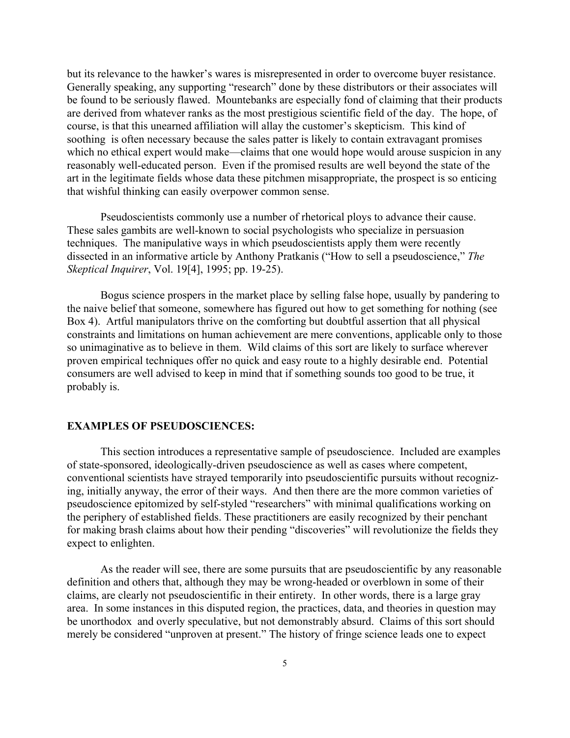but its relevance to the hawker's wares is misrepresented in order to overcome buyer resistance. Generally speaking, any supporting "research" done by these distributors or their associates will be found to be seriously flawed. Mountebanks are especially fond of claiming that their products are derived from whatever ranks as the most prestigious scientific field of the day. The hope, of course, is that this unearned affiliation will allay the customer's skepticism. This kind of soothing is often necessary because the sales patter is likely to contain extravagant promises which no ethical expert would make—claims that one would hope would arouse suspicion in any reasonably well-educated person. Even if the promised results are well beyond the state of the art in the legitimate fields whose data these pitchmen misappropriate, the prospect is so enticing that wishful thinking can easily overpower common sense.

Pseudoscientists commonly use a number of rhetorical ploys to advance their cause. These sales gambits are well-known to social psychologists who specialize in persuasion techniques. The manipulative ways in which pseudoscientists apply them were recently dissected in an informative article by Anthony Pratkanis ("How to sell a pseudoscience," *The Skeptical Inquirer*, Vol. 19[4], 1995; pp. 19-25).

Bogus science prospers in the market place by selling false hope, usually by pandering to the naive belief that someone, somewhere has figured out how to get something for nothing (see Box 4). Artful manipulators thrive on the comforting but doubtful assertion that all physical constraints and limitations on human achievement are mere conventions, applicable only to those so unimaginative as to believe in them. Wild claims of this sort are likely to surface wherever proven empirical techniques offer no quick and easy route to a highly desirable end. Potential consumers are well advised to keep in mind that if something sounds too good to be true, it probably is.

# **EXAMPLES OF PSEUDOSCIENCES:**

This section introduces a representative sample of pseudoscience. Included are examples of state-sponsored, ideologically-driven pseudoscience as well as cases where competent, conventional scientists have strayed temporarily into pseudoscientific pursuits without recognizing, initially anyway, the error of their ways. And then there are the more common varieties of pseudoscience epitomized by self-styled "researchers" with minimal qualifications working on the periphery of established fields. These practitioners are easily recognized by their penchant for making brash claims about how their pending "discoveries" will revolutionize the fields they expect to enlighten.

As the reader will see, there are some pursuits that are pseudoscientific by any reasonable definition and others that, although they may be wrong-headed or overblown in some of their claims, are clearly not pseudoscientific in their entirety. In other words, there is a large gray area. In some instances in this disputed region, the practices, data, and theories in question may be unorthodox and overly speculative, but not demonstrably absurd. Claims of this sort should merely be considered "unproven at present." The history of fringe science leads one to expect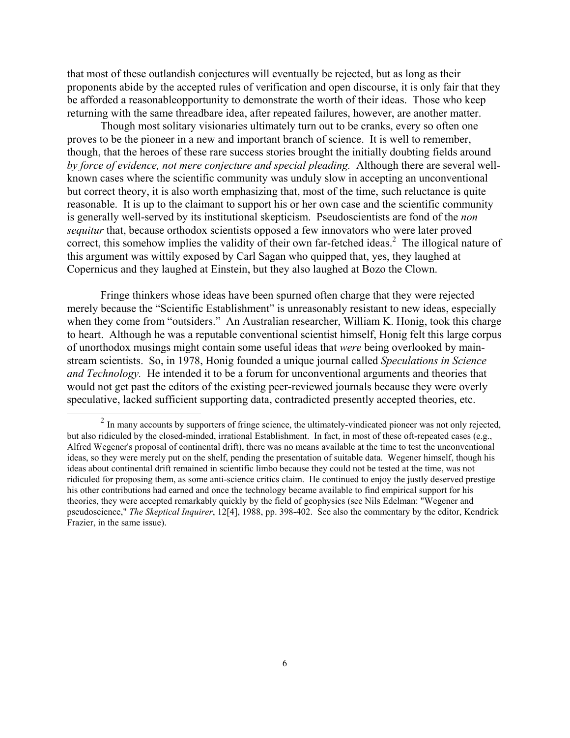that most of these outlandish conjectures will eventually be rejected, but as long as their proponents abide by the accepted rules of verification and open discourse, it is only fair that they be afforded a reasonableopportunity to demonstrate the worth of their ideas. Those who keep returning with the same threadbare idea, after repeated failures, however, are another matter.

Though most solitary visionaries ultimately turn out to be cranks, every so often one proves to be the pioneer in a new and important branch of science. It is well to remember, though, that the heroes of these rare success stories brought the initially doubting fields around *by force of evidence, not mere conjecture and special pleading.* Although there are several wellknown cases where the scientific community was unduly slow in accepting an unconventional but correct theory, it is also worth emphasizing that, most of the time, such reluctance is quite reasonable. It is up to the claimant to support his or her own case and the scientific community is generally well-served by its institutional skepticism. Pseudoscientists are fond of the *non sequitur* that, because orthodox scientists opposed a few innovators who were later proved correct, this somehow implies the validity of their own far-fetched ideas.<sup>2</sup> The illogical nature of this argument was wittily exposed by Carl Sagan who quipped that, yes, they laughed at Copernicus and they laughed at Einstein, but they also laughed at Bozo the Clown.

Fringe thinkers whose ideas have been spurned often charge that they were rejected merely because the "Scientific Establishment" is unreasonably resistant to new ideas, especially when they come from "outsiders." An Australian researcher, William K. Honig, took this charge to heart. Although he was a reputable conventional scientist himself, Honig felt this large corpus of unorthodox musings might contain some useful ideas that *were* being overlooked by mainstream scientists. So, in 1978, Honig founded a unique journal called *Speculations in Science and Technology.* He intended it to be a forum for unconventional arguments and theories that would not get past the editors of the existing peer-reviewed journals because they were overly speculative, lacked sufficient supporting data, contradicted presently accepted theories, etc.

 $\overline{a}$ 

<sup>&</sup>lt;sup>2</sup> In many accounts by supporters of fringe science, the ultimately-vindicated pioneer was not only rejected, but also ridiculed by the closed-minded, irrational Establishment. In fact, in most of these oft-repeated cases (e.g., Alfred Wegener's proposal of continental drift), there was no means available at the time to test the unconventional ideas, so they were merely put on the shelf, pending the presentation of suitable data. Wegener himself, though his ideas about continental drift remained in scientific limbo because they could not be tested at the time, was not ridiculed for proposing them, as some anti-science critics claim. He continued to enjoy the justly deserved prestige his other contributions had earned and once the technology became available to find empirical support for his theories, they were accepted remarkably quickly by the field of geophysics (see Nils Edelman: "Wegener and pseudoscience," *The Skeptical Inquirer*, 12[4], 1988, pp. 398-402. See also the commentary by the editor, Kendrick Frazier, in the same issue).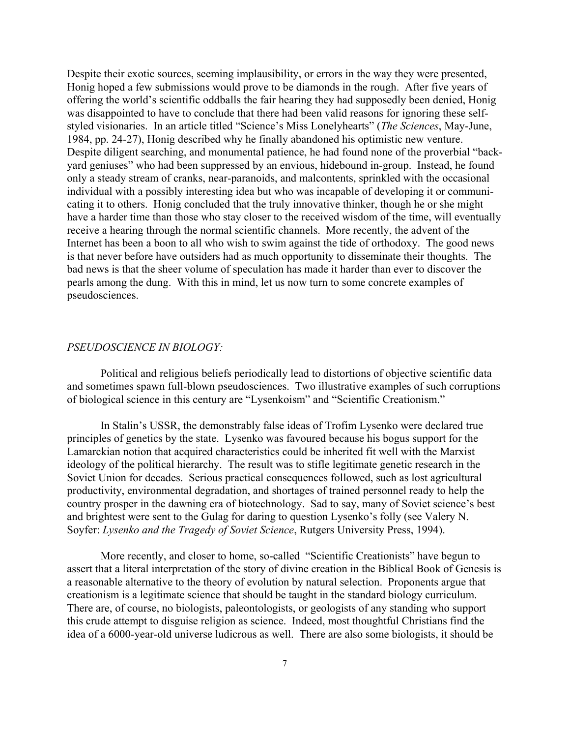Despite their exotic sources, seeming implausibility, or errors in the way they were presented, Honig hoped a few submissions would prove to be diamonds in the rough. After five years of offering the world's scientific oddballs the fair hearing they had supposedly been denied, Honig was disappointed to have to conclude that there had been valid reasons for ignoring these selfstyled visionaries. In an article titled "Science's Miss Lonelyhearts" (*The Sciences*, May-June, 1984, pp. 24-27), Honig described why he finally abandoned his optimistic new venture. Despite diligent searching, and monumental patience, he had found none of the proverbial "backyard geniuses" who had been suppressed by an envious, hidebound in-group. Instead, he found only a steady stream of cranks, near-paranoids, and malcontents, sprinkled with the occasional individual with a possibly interesting idea but who was incapable of developing it or communicating it to others. Honig concluded that the truly innovative thinker, though he or she might have a harder time than those who stay closer to the received wisdom of the time, will eventually receive a hearing through the normal scientific channels. More recently, the advent of the Internet has been a boon to all who wish to swim against the tide of orthodoxy. The good news is that never before have outsiders had as much opportunity to disseminate their thoughts. The bad news is that the sheer volume of speculation has made it harder than ever to discover the pearls among the dung. With this in mind, let us now turn to some concrete examples of pseudosciences.

#### *PSEUDOSCIENCE IN BIOLOGY:*

Political and religious beliefs periodically lead to distortions of objective scientific data and sometimes spawn full-blown pseudosciences. Two illustrative examples of such corruptions of biological science in this century are "Lysenkoism" and "Scientific Creationism."

In Stalin's USSR, the demonstrably false ideas of Trofim Lysenko were declared true principles of genetics by the state. Lysenko was favoured because his bogus support for the Lamarckian notion that acquired characteristics could be inherited fit well with the Marxist ideology of the political hierarchy. The result was to stifle legitimate genetic research in the Soviet Union for decades. Serious practical consequences followed, such as lost agricultural productivity, environmental degradation, and shortages of trained personnel ready to help the country prosper in the dawning era of biotechnology. Sad to say, many of Soviet science's best and brightest were sent to the Gulag for daring to question Lysenko's folly (see Valery N. Soyfer: *Lysenko and the Tragedy of Soviet Science*, Rutgers University Press, 1994).

More recently, and closer to home, so-called "Scientific Creationists" have begun to assert that a literal interpretation of the story of divine creation in the Biblical Book of Genesis is a reasonable alternative to the theory of evolution by natural selection. Proponents argue that creationism is a legitimate science that should be taught in the standard biology curriculum. There are, of course, no biologists, paleontologists, or geologists of any standing who support this crude attempt to disguise religion as science. Indeed, most thoughtful Christians find the idea of a 6000-year-old universe ludicrous as well. There are also some biologists, it should be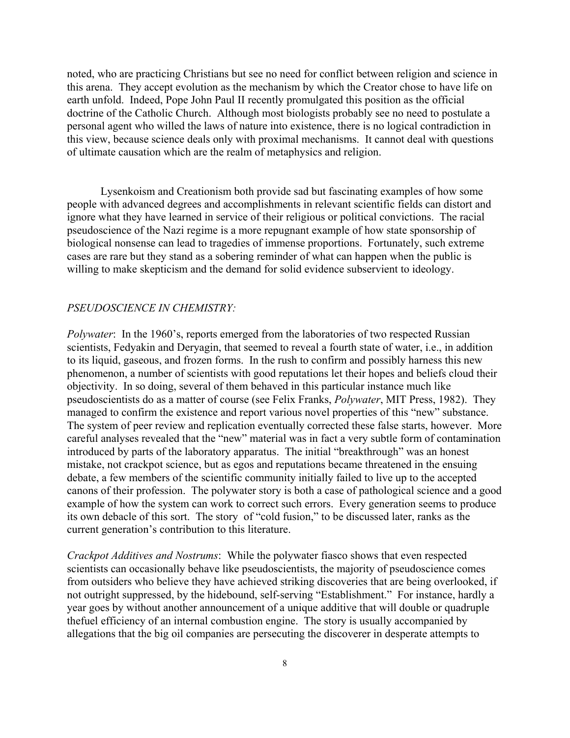noted, who are practicing Christians but see no need for conflict between religion and science in this arena. They accept evolution as the mechanism by which the Creator chose to have life on earth unfold. Indeed, Pope John Paul II recently promulgated this position as the official doctrine of the Catholic Church. Although most biologists probably see no need to postulate a personal agent who willed the laws of nature into existence, there is no logical contradiction in this view, because science deals only with proximal mechanisms. It cannot deal with questions of ultimate causation which are the realm of metaphysics and religion.

Lysenkoism and Creationism both provide sad but fascinating examples of how some people with advanced degrees and accomplishments in relevant scientific fields can distort and ignore what they have learned in service of their religious or political convictions. The racial pseudoscience of the Nazi regime is a more repugnant example of how state sponsorship of biological nonsense can lead to tragedies of immense proportions. Fortunately, such extreme cases are rare but they stand as a sobering reminder of what can happen when the public is willing to make skepticism and the demand for solid evidence subservient to ideology.

### *PSEUDOSCIENCE IN CHEMISTRY:*

*Polywater*: In the 1960's, reports emerged from the laboratories of two respected Russian scientists, Fedyakin and Deryagin, that seemed to reveal a fourth state of water, i.e., in addition to its liquid, gaseous, and frozen forms. In the rush to confirm and possibly harness this new phenomenon, a number of scientists with good reputations let their hopes and beliefs cloud their objectivity. In so doing, several of them behaved in this particular instance much like pseudoscientists do as a matter of course (see Felix Franks, *Polywater*, MIT Press, 1982). They managed to confirm the existence and report various novel properties of this "new" substance. The system of peer review and replication eventually corrected these false starts, however. More careful analyses revealed that the "new" material was in fact a very subtle form of contamination introduced by parts of the laboratory apparatus. The initial "breakthrough" was an honest mistake, not crackpot science, but as egos and reputations became threatened in the ensuing debate, a few members of the scientific community initially failed to live up to the accepted canons of their profession. The polywater story is both a case of pathological science and a good example of how the system can work to correct such errors. Every generation seems to produce its own debacle of this sort. The story of "cold fusion," to be discussed later, ranks as the current generation's contribution to this literature.

*Crackpot Additives and Nostrums*: While the polywater fiasco shows that even respected scientists can occasionally behave like pseudoscientists, the majority of pseudoscience comes from outsiders who believe they have achieved striking discoveries that are being overlooked, if not outright suppressed, by the hidebound, self-serving "Establishment." For instance, hardly a year goes by without another announcement of a unique additive that will double or quadruple thefuel efficiency of an internal combustion engine. The story is usually accompanied by allegations that the big oil companies are persecuting the discoverer in desperate attempts to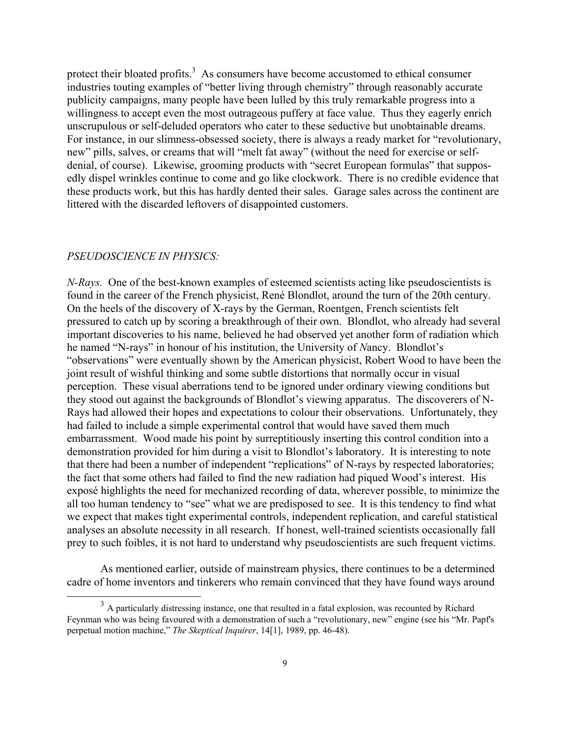protect their bloated profits. $3$  As consumers have become accustomed to ethical consumer industries touting examples of "better living through chemistry" through reasonably accurate publicity campaigns, many people have been lulled by this truly remarkable progress into a willingness to accept even the most outrageous puffery at face value. Thus they eagerly enrich unscrupulous or self-deluded operators who cater to these seductive but unobtainable dreams. For instance, in our slimness-obsessed society, there is always a ready market for "revolutionary, new" pills, salves, or creams that will "melt fat away" (without the need for exercise or selfdenial, of course). Likewise, grooming products with "secret European formulas" that supposedly dispel wrinkles continue to come and go like clockwork. There is no credible evidence that these products work, but this has hardly dented their sales. Garage sales across the continent are littered with the discarded leftovers of disappointed customers.

# *PSEUDOSCIENCE IN PHYSICS:*

*N-Rays.* One of the best-known examples of esteemed scientists acting like pseudoscientists is found in the career of the French physicist, René Blondlot, around the turn of the 20th century. On the heels of the discovery of X-rays by the German, Roentgen, French scientists felt pressured to catch up by scoring a breakthrough of their own. Blondlot, who already had several important discoveries to his name, believed he had observed yet another form of radiation which he named "N-rays" in honour of his institution, the University of *N*ancy. Blondlot's "observations" were eventually shown by the American physicist, Robert Wood to have been the joint result of wishful thinking and some subtle distortions that normally occur in visual perception. These visual aberrations tend to be ignored under ordinary viewing conditions but they stood out against the backgrounds of Blondlot's viewing apparatus. The discoverers of N-Rays had allowed their hopes and expectations to colour their observations. Unfortunately, they had failed to include a simple experimental control that would have saved them much embarrassment. Wood made his point by surreptitiously inserting this control condition into a demonstration provided for him during a visit to Blondlot's laboratory. It is interesting to note that there had been a number of independent "replications" of N-rays by respected laboratories; the fact that some others had failed to find the new radiation had piqued Wood's interest. His exposé highlights the need for mechanized recording of data, wherever possible, to minimize the all too human tendency to "see" what we are predisposed to see. It is this tendency to find what we expect that makes tight experimental controls, independent replication, and careful statistical analyses an absolute necessity in all research. If honest, well-trained scientists occasionally fall prey to such foibles, it is not hard to understand why pseudoscientists are such frequent victims.

As mentioned earlier, outside of mainstream physics, there continues to be a determined cadre of home inventors and tinkerers who remain convinced that they have found ways around

 $3<sup>3</sup>$  A particularly distressing instance, one that resulted in a fatal explosion, was recounted by Richard Feynman who was being favoured with a demonstration of such a "revolutionary, new" engine (see his "Mr. Papf's perpetual motion machine," *The Skeptical Inquirer*, 14[1], 1989, pp. 46-48).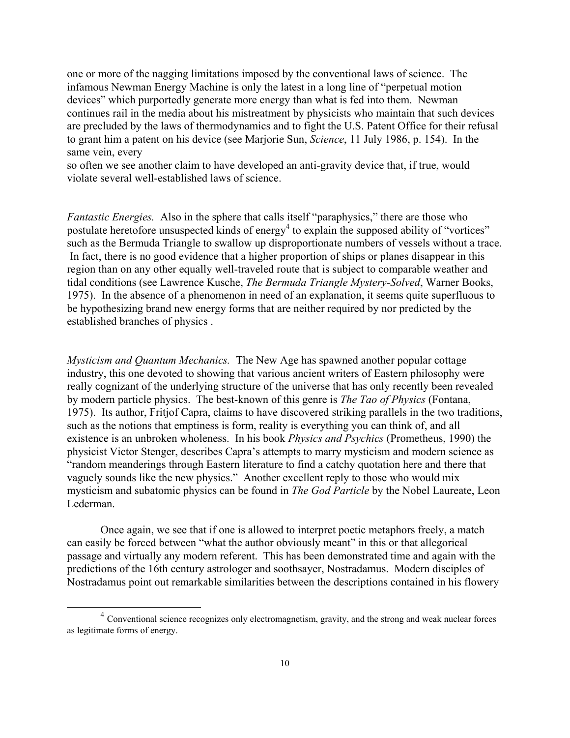one or more of the nagging limitations imposed by the conventional laws of science. The infamous Newman Energy Machine is only the latest in a long line of "perpetual motion devices" which purportedly generate more energy than what is fed into them. Newman continues rail in the media about his mistreatment by physicists who maintain that such devices are precluded by the laws of thermodynamics and to fight the U.S. Patent Office for their refusal to grant him a patent on his device (see Marjorie Sun, *Science*, 11 July 1986, p. 154). In the same vein, every

so often we see another claim to have developed an anti-gravity device that, if true, would violate several well-established laws of science.

*Fantastic Energies.* Also in the sphere that calls itself "paraphysics," there are those who postulate heretofore unsuspected kinds of energy<sup>4</sup> to explain the supposed ability of "vortices" such as the Bermuda Triangle to swallow up disproportionate numbers of vessels without a trace. In fact, there is no good evidence that a higher proportion of ships or planes disappear in this region than on any other equally well-traveled route that is subject to comparable weather and tidal conditions (see Lawrence Kusche, *The Bermuda Triangle Mystery-Solved*, Warner Books, 1975). In the absence of a phenomenon in need of an explanation, it seems quite superfluous to be hypothesizing brand new energy forms that are neither required by nor predicted by the established branches of physics .

*Mysticism and Quantum Mechanics.* The New Age has spawned another popular cottage industry, this one devoted to showing that various ancient writers of Eastern philosophy were really cognizant of the underlying structure of the universe that has only recently been revealed by modern particle physics. The best-known of this genre is *The Tao of Physics* (Fontana, 1975). Its author, Fritjof Capra, claims to have discovered striking parallels in the two traditions, such as the notions that emptiness is form, reality is everything you can think of, and all existence is an unbroken wholeness. In his book *Physics and Psychics* (Prometheus, 1990) the physicist Victor Stenger, describes Capra's attempts to marry mysticism and modern science as "random meanderings through Eastern literature to find a catchy quotation here and there that vaguely sounds like the new physics." Another excellent reply to those who would mix mysticism and subatomic physics can be found in *The God Particle* by the Nobel Laureate, Leon Lederman.

Once again, we see that if one is allowed to interpret poetic metaphors freely, a match can easily be forced between "what the author obviously meant" in this or that allegorical passage and virtually any modern referent. This has been demonstrated time and again with the predictions of the 16th century astrologer and soothsayer, Nostradamus. Modern disciples of Nostradamus point out remarkable similarities between the descriptions contained in his flowery

<sup>&</sup>lt;sup>4</sup> Conventional science recognizes only electromagnetism, gravity, and the strong and weak nuclear forces as legitimate forms of energy.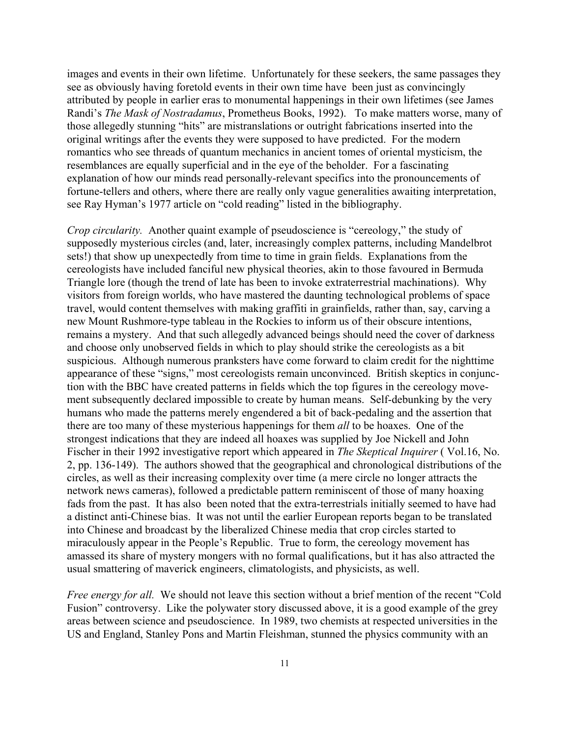images and events in their own lifetime. Unfortunately for these seekers, the same passages they see as obviously having foretold events in their own time have been just as convincingly attributed by people in earlier eras to monumental happenings in their own lifetimes (see James Randi's *The Mask of Nostradamus*, Prometheus Books, 1992). To make matters worse, many of those allegedly stunning "hits" are mistranslations or outright fabrications inserted into the original writings after the events they were supposed to have predicted. For the modern romantics who see threads of quantum mechanics in ancient tomes of oriental mysticism, the resemblances are equally superficial and in the eye of the beholder. For a fascinating explanation of how our minds read personally-relevant specifics into the pronouncements of fortune-tellers and others, where there are really only vague generalities awaiting interpretation, see Ray Hyman's 1977 article on "cold reading" listed in the bibliography.

*Crop circularity.* Another quaint example of pseudoscience is "cereology," the study of supposedly mysterious circles (and, later, increasingly complex patterns, including Mandelbrot sets!) that show up unexpectedly from time to time in grain fields. Explanations from the cereologists have included fanciful new physical theories, akin to those favoured in Bermuda Triangle lore (though the trend of late has been to invoke extraterrestrial machinations). Why visitors from foreign worlds, who have mastered the daunting technological problems of space travel, would content themselves with making graffiti in grainfields, rather than, say, carving a new Mount Rushmore-type tableau in the Rockies to inform us of their obscure intentions, remains a mystery. And that such allegedly advanced beings should need the cover of darkness and choose only unobserved fields in which to play should strike the cereologists as a bit suspicious. Although numerous pranksters have come forward to claim credit for the nighttime appearance of these "signs," most cereologists remain unconvinced. British skeptics in conjunction with the BBC have created patterns in fields which the top figures in the cereology movement subsequently declared impossible to create by human means. Self-debunking by the very humans who made the patterns merely engendered a bit of back-pedaling and the assertion that there are too many of these mysterious happenings for them *all* to be hoaxes. One of the strongest indications that they are indeed all hoaxes was supplied by Joe Nickell and John Fischer in their 1992 investigative report which appeared in *The Skeptical Inquirer* ( Vol.16, No. 2, pp. 136-149). The authors showed that the geographical and chronological distributions of the circles, as well as their increasing complexity over time (a mere circle no longer attracts the network news cameras), followed a predictable pattern reminiscent of those of many hoaxing fads from the past. It has also been noted that the extra-terrestrials initially seemed to have had a distinct anti-Chinese bias. It was not until the earlier European reports began to be translated into Chinese and broadcast by the liberalized Chinese media that crop circles started to miraculously appear in the People's Republic. True to form, the cereology movement has amassed its share of mystery mongers with no formal qualifications, but it has also attracted the usual smattering of maverick engineers, climatologists, and physicists, as well.

*Free energy for all.* We should not leave this section without a brief mention of the recent "Cold" Fusion" controversy. Like the polywater story discussed above, it is a good example of the grey areas between science and pseudoscience. In 1989, two chemists at respected universities in the US and England, Stanley Pons and Martin Fleishman, stunned the physics community with an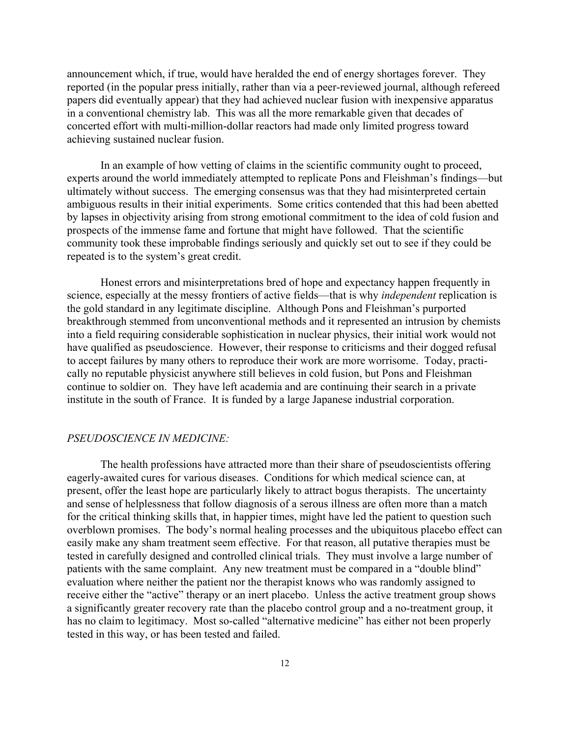announcement which, if true, would have heralded the end of energy shortages forever. They reported (in the popular press initially, rather than via a peer-reviewed journal, although refereed papers did eventually appear) that they had achieved nuclear fusion with inexpensive apparatus in a conventional chemistry lab. This was all the more remarkable given that decades of concerted effort with multi-million-dollar reactors had made only limited progress toward achieving sustained nuclear fusion.

In an example of how vetting of claims in the scientific community ought to proceed, experts around the world immediately attempted to replicate Pons and Fleishman's findings—but ultimately without success. The emerging consensus was that they had misinterpreted certain ambiguous results in their initial experiments. Some critics contended that this had been abetted by lapses in objectivity arising from strong emotional commitment to the idea of cold fusion and prospects of the immense fame and fortune that might have followed. That the scientific community took these improbable findings seriously and quickly set out to see if they could be repeated is to the system's great credit.

Honest errors and misinterpretations bred of hope and expectancy happen frequently in science, especially at the messy frontiers of active fields—that is why *independent* replication is the gold standard in any legitimate discipline. Although Pons and Fleishman's purported breakthrough stemmed from unconventional methods and it represented an intrusion by chemists into a field requiring considerable sophistication in nuclear physics, their initial work would not have qualified as pseudoscience. However, their response to criticisms and their dogged refusal to accept failures by many others to reproduce their work are more worrisome. Today, practically no reputable physicist anywhere still believes in cold fusion, but Pons and Fleishman continue to soldier on. They have left academia and are continuing their search in a private institute in the south of France. It is funded by a large Japanese industrial corporation.

### *PSEUDOSCIENCE IN MEDICINE:*

The health professions have attracted more than their share of pseudoscientists offering eagerly-awaited cures for various diseases. Conditions for which medical science can, at present, offer the least hope are particularly likely to attract bogus therapists. The uncertainty and sense of helplessness that follow diagnosis of a serous illness are often more than a match for the critical thinking skills that, in happier times, might have led the patient to question such overblown promises. The body's normal healing processes and the ubiquitous placebo effect can easily make any sham treatment seem effective. For that reason, all putative therapies must be tested in carefully designed and controlled clinical trials. They must involve a large number of patients with the same complaint. Any new treatment must be compared in a "double blind" evaluation where neither the patient nor the therapist knows who was randomly assigned to receive either the "active" therapy or an inert placebo. Unless the active treatment group shows a significantly greater recovery rate than the placebo control group and a no-treatment group, it has no claim to legitimacy. Most so-called "alternative medicine" has either not been properly tested in this way, or has been tested and failed.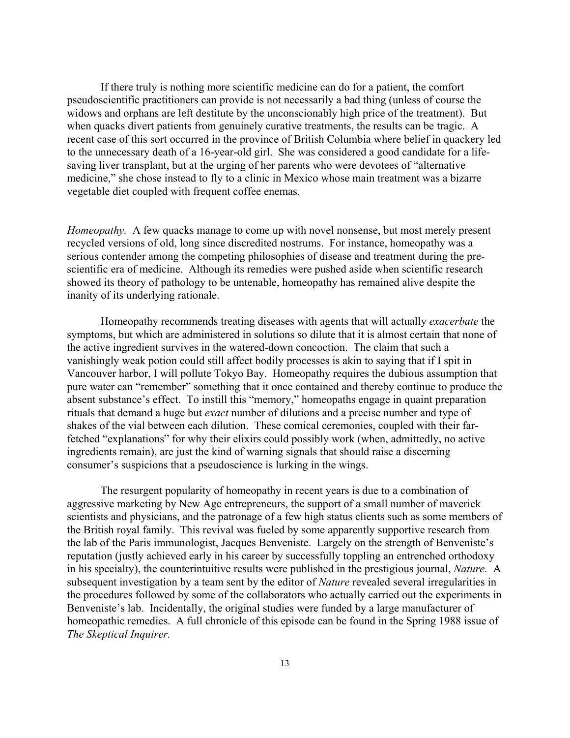If there truly is nothing more scientific medicine can do for a patient, the comfort pseudoscientific practitioners can provide is not necessarily a bad thing (unless of course the widows and orphans are left destitute by the unconscionably high price of the treatment). But when quacks divert patients from genuinely curative treatments, the results can be tragic. A recent case of this sort occurred in the province of British Columbia where belief in quackery led to the unnecessary death of a 16-year-old girl. She was considered a good candidate for a lifesaving liver transplant, but at the urging of her parents who were devotees of "alternative medicine," she chose instead to fly to a clinic in Mexico whose main treatment was a bizarre vegetable diet coupled with frequent coffee enemas.

*Homeopathy*. A few quacks manage to come up with novel nonsense, but most merely present recycled versions of old, long since discredited nostrums. For instance, homeopathy was a serious contender among the competing philosophies of disease and treatment during the prescientific era of medicine. Although its remedies were pushed aside when scientific research showed its theory of pathology to be untenable, homeopathy has remained alive despite the inanity of its underlying rationale.

Homeopathy recommends treating diseases with agents that will actually *exacerbate* the symptoms, but which are administered in solutions so dilute that it is almost certain that none of the active ingredient survives in the watered-down concoction. The claim that such a vanishingly weak potion could still affect bodily processes is akin to saying that if I spit in Vancouver harbor, I will pollute Tokyo Bay. Homeopathy requires the dubious assumption that pure water can "remember" something that it once contained and thereby continue to produce the absent substance's effect. To instill this "memory," homeopaths engage in quaint preparation rituals that demand a huge but *exact* number of dilutions and a precise number and type of shakes of the vial between each dilution. These comical ceremonies, coupled with their farfetched "explanations" for why their elixirs could possibly work (when, admittedly, no active ingredients remain), are just the kind of warning signals that should raise a discerning consumer's suspicions that a pseudoscience is lurking in the wings.

The resurgent popularity of homeopathy in recent years is due to a combination of aggressive marketing by New Age entrepreneurs, the support of a small number of maverick scientists and physicians, and the patronage of a few high status clients such as some members of the British royal family. This revival was fueled by some apparently supportive research from the lab of the Paris immunologist, Jacques Benveniste. Largely on the strength of Benveniste's reputation (justly achieved early in his career by successfully toppling an entrenched orthodoxy in his specialty), the counterintuitive results were published in the prestigious journal, *Nature.* A subsequent investigation by a team sent by the editor of *Nature* revealed several irregularities in the procedures followed by some of the collaborators who actually carried out the experiments in Benveniste's lab. Incidentally, the original studies were funded by a large manufacturer of homeopathic remedies. A full chronicle of this episode can be found in the Spring 1988 issue of *The Skeptical Inquirer.*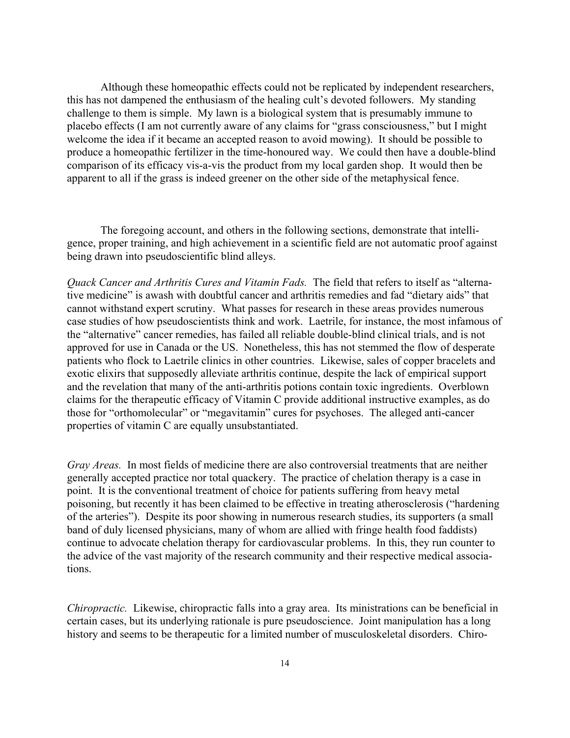Although these homeopathic effects could not be replicated by independent researchers, this has not dampened the enthusiasm of the healing cult's devoted followers. My standing challenge to them is simple. My lawn is a biological system that is presumably immune to placebo effects (I am not currently aware of any claims for "grass consciousness," but I might welcome the idea if it became an accepted reason to avoid mowing). It should be possible to produce a homeopathic fertilizer in the time-honoured way. We could then have a double-blind comparison of its efficacy vis-a-vis the product from my local garden shop. It would then be apparent to all if the grass is indeed greener on the other side of the metaphysical fence.

The foregoing account, and others in the following sections, demonstrate that intelligence, proper training, and high achievement in a scientific field are not automatic proof against being drawn into pseudoscientific blind alleys.

*Quack Cancer and Arthritis Cures and Vitamin Fads.* The field that refers to itself as "alternative medicine" is awash with doubtful cancer and arthritis remedies and fad "dietary aids" that cannot withstand expert scrutiny. What passes for research in these areas provides numerous case studies of how pseudoscientists think and work. Laetrile, for instance, the most infamous of the "alternative" cancer remedies, has failed all reliable double-blind clinical trials, and is not approved for use in Canada or the US. Nonetheless, this has not stemmed the flow of desperate patients who flock to Laetrile clinics in other countries. Likewise, sales of copper bracelets and exotic elixirs that supposedly alleviate arthritis continue, despite the lack of empirical support and the revelation that many of the anti-arthritis potions contain toxic ingredients. Overblown claims for the therapeutic efficacy of Vitamin C provide additional instructive examples, as do those for "orthomolecular" or "megavitamin" cures for psychoses. The alleged anti-cancer properties of vitamin C are equally unsubstantiated.

*Gray Areas.* In most fields of medicine there are also controversial treatments that are neither generally accepted practice nor total quackery. The practice of chelation therapy is a case in point. It is the conventional treatment of choice for patients suffering from heavy metal poisoning, but recently it has been claimed to be effective in treating atherosclerosis ("hardening of the arteries"). Despite its poor showing in numerous research studies, its supporters (a small band of duly licensed physicians, many of whom are allied with fringe health food faddists) continue to advocate chelation therapy for cardiovascular problems. In this, they run counter to the advice of the vast majority of the research community and their respective medical associations.

*Chiropractic.* Likewise, chiropractic falls into a gray area. Its ministrations can be beneficial in certain cases, but its underlying rationale is pure pseudoscience. Joint manipulation has a long history and seems to be therapeutic for a limited number of musculoskeletal disorders. Chiro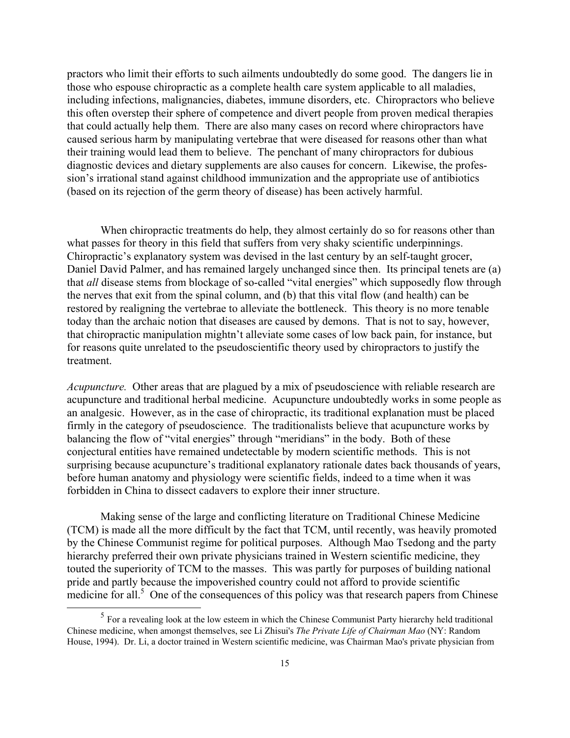practors who limit their efforts to such ailments undoubtedly do some good. The dangers lie in those who espouse chiropractic as a complete health care system applicable to all maladies, including infections, malignancies, diabetes, immune disorders, etc. Chiropractors who believe this often overstep their sphere of competence and divert people from proven medical therapies that could actually help them. There are also many cases on record where chiropractors have caused serious harm by manipulating vertebrae that were diseased for reasons other than what their training would lead them to believe. The penchant of many chiropractors for dubious diagnostic devices and dietary supplements are also causes for concern. Likewise, the profession's irrational stand against childhood immunization and the appropriate use of antibiotics (based on its rejection of the germ theory of disease) has been actively harmful.

When chiropractic treatments do help, they almost certainly do so for reasons other than what passes for theory in this field that suffers from very shaky scientific underpinnings. Chiropractic's explanatory system was devised in the last century by an self-taught grocer, Daniel David Palmer, and has remained largely unchanged since then. Its principal tenets are (a) that *all* disease stems from blockage of so-called "vital energies" which supposedly flow through the nerves that exit from the spinal column, and (b) that this vital flow (and health) can be restored by realigning the vertebrae to alleviate the bottleneck. This theory is no more tenable today than the archaic notion that diseases are caused by demons. That is not to say, however, that chiropractic manipulation mightn't alleviate some cases of low back pain, for instance, but for reasons quite unrelated to the pseudoscientific theory used by chiropractors to justify the treatment.

*Acupuncture.* Other areas that are plagued by a mix of pseudoscience with reliable research are acupuncture and traditional herbal medicine. Acupuncture undoubtedly works in some people as an analgesic. However, as in the case of chiropractic, its traditional explanation must be placed firmly in the category of pseudoscience. The traditionalists believe that acupuncture works by balancing the flow of "vital energies" through "meridians" in the body. Both of these conjectural entities have remained undetectable by modern scientific methods. This is not surprising because acupuncture's traditional explanatory rationale dates back thousands of years, before human anatomy and physiology were scientific fields, indeed to a time when it was forbidden in China to dissect cadavers to explore their inner structure.

Making sense of the large and conflicting literature on Traditional Chinese Medicine (TCM) is made all the more difficult by the fact that TCM, until recently, was heavily promoted by the Chinese Communist regime for political purposes. Although Mao Tsedong and the party hierarchy preferred their own private physicians trained in Western scientific medicine, they touted the superiority of TCM to the masses. This was partly for purposes of building national pride and partly because the impoverished country could not afford to provide scientific  $\frac{1}{2}$  medicine for all.<sup>5</sup> One of the consequences of this policy was that research papers from Chinese

 $\overline{a}$ 

<sup>&</sup>lt;sup>5</sup> For a revealing look at the low esteem in which the Chinese Communist Party hierarchy held traditional Chinese medicine, when amongst themselves, see Li Zhisui's *The Private Life of Chairman Mao* (NY: Random House, 1994). Dr. Li, a doctor trained in Western scientific medicine, was Chairman Mao's private physician from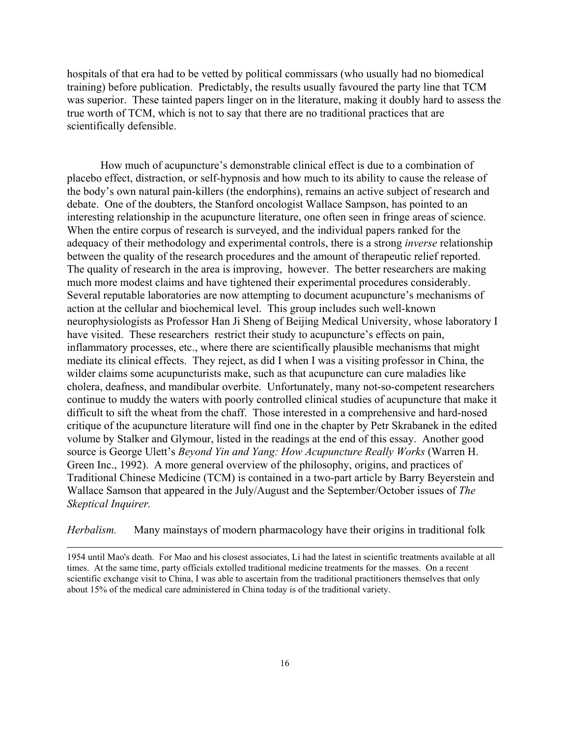hospitals of that era had to be vetted by political commissars (who usually had no biomedical training) before publication. Predictably, the results usually favoured the party line that TCM was superior. These tainted papers linger on in the literature, making it doubly hard to assess the true worth of TCM, which is not to say that there are no traditional practices that are scientifically defensible.

How much of acupuncture's demonstrable clinical effect is due to a combination of placebo effect, distraction, or self-hypnosis and how much to its ability to cause the release of the body's own natural pain-killers (the endorphins), remains an active subject of research and debate. One of the doubters, the Stanford oncologist Wallace Sampson, has pointed to an interesting relationship in the acupuncture literature, one often seen in fringe areas of science. When the entire corpus of research is surveyed, and the individual papers ranked for the adequacy of their methodology and experimental controls, there is a strong *inverse* relationship between the quality of the research procedures and the amount of therapeutic relief reported. The quality of research in the area is improving, however. The better researchers are making much more modest claims and have tightened their experimental procedures considerably. Several reputable laboratories are now attempting to document acupuncture's mechanisms of action at the cellular and biochemical level. This group includes such well-known neurophysiologists as Professor Han Ji Sheng of Beijing Medical University, whose laboratory I have visited. These researchers restrict their study to acupuncture's effects on pain, inflammatory processes, etc., where there are scientifically plausible mechanisms that might mediate its clinical effects. They reject, as did I when I was a visiting professor in China, the wilder claims some acupuncturists make, such as that acupuncture can cure maladies like cholera, deafness, and mandibular overbite. Unfortunately, many not-so-competent researchers continue to muddy the waters with poorly controlled clinical studies of acupuncture that make it difficult to sift the wheat from the chaff. Those interested in a comprehensive and hard-nosed critique of the acupuncture literature will find one in the chapter by Petr Skrabanek in the edited volume by Stalker and Glymour, listed in the readings at the end of this essay. Another good source is George Ulett's *Beyond Yin and Yang: How Acupuncture Really Works* (Warren H. Green Inc., 1992). A more general overview of the philosophy, origins, and practices of Traditional Chinese Medicine (TCM) is contained in a two-part article by Barry Beyerstein and Wallace Samson that appeared in the July/August and the September/October issues of *The Skeptical Inquirer.*

*Herbalism.* Many mainstays of modern pharmacology have their origins in traditional folk

 $\overline{a}$ 

1954 until Mao's death. For Mao and his closest associates, Li had the latest in scientific treatments available at all times. At the same time, party officials extolled traditional medicine treatments for the masses. On a recent scientific exchange visit to China, I was able to ascertain from the traditional practitioners themselves that only about 15% of the medical care administered in China today is of the traditional variety.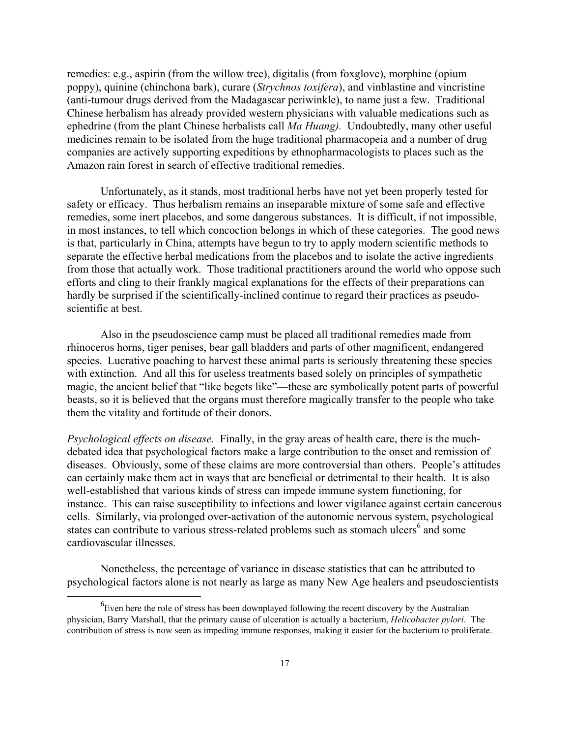remedies: e.g., aspirin (from the willow tree), digitalis (from foxglove), morphine (opium poppy), quinine (chinchona bark), curare (*Strychnos toxifera*), and vinblastine and vincristine (anti-tumour drugs derived from the Madagascar periwinkle), to name just a few. Traditional Chinese herbalism has already provided western physicians with valuable medications such as ephedrine (from the plant Chinese herbalists call *Ma Huang).* Undoubtedly, many other useful medicines remain to be isolated from the huge traditional pharmacopeia and a number of drug companies are actively supporting expeditions by ethnopharmacologists to places such as the Amazon rain forest in search of effective traditional remedies.

Unfortunately, as it stands, most traditional herbs have not yet been properly tested for safety or efficacy. Thus herbalism remains an inseparable mixture of some safe and effective remedies, some inert placebos, and some dangerous substances. It is difficult, if not impossible, in most instances, to tell which concoction belongs in which of these categories. The good news is that, particularly in China, attempts have begun to try to apply modern scientific methods to separate the effective herbal medications from the placebos and to isolate the active ingredients from those that actually work. Those traditional practitioners around the world who oppose such efforts and cling to their frankly magical explanations for the effects of their preparations can hardly be surprised if the scientifically-inclined continue to regard their practices as pseudoscientific at best.

Also in the pseudoscience camp must be placed all traditional remedies made from rhinoceros horns, tiger penises, bear gall bladders and parts of other magnificent, endangered species. Lucrative poaching to harvest these animal parts is seriously threatening these species with extinction. And all this for useless treatments based solely on principles of sympathetic magic, the ancient belief that "like begets like"—these are symbolically potent parts of powerful beasts, so it is believed that the organs must therefore magically transfer to the people who take them the vitality and fortitude of their donors.

*Psychological effects on disease.* Finally, in the gray areas of health care, there is the muchdebated idea that psychological factors make a large contribution to the onset and remission of diseases. Obviously, some of these claims are more controversial than others. People's attitudes can certainly make them act in ways that are beneficial or detrimental to their health. It is also well-established that various kinds of stress can impede immune system functioning, for instance. This can raise susceptibility to infections and lower vigilance against certain cancerous cells. Similarly, via prolonged over-activation of the autonomic nervous system, psychological states can contribute to various stress-related problems such as stomach ulcers<sup>6</sup> and some cardiovascular illnesses.

Nonetheless, the percentage of variance in disease statistics that can be attributed to psychological factors alone is not nearly as large as many New Age healers and pseudoscientists

 <sup>6</sup>  ${}^6$ Even here the role of stress has been downplayed following the recent discovery by the Australian physician, Barry Marshall, that the primary cause of ulceration is actually a bacterium, *Helicobacter pylori*. The contribution of stress is now seen as impeding immune responses, making it easier for the bacterium to proliferate.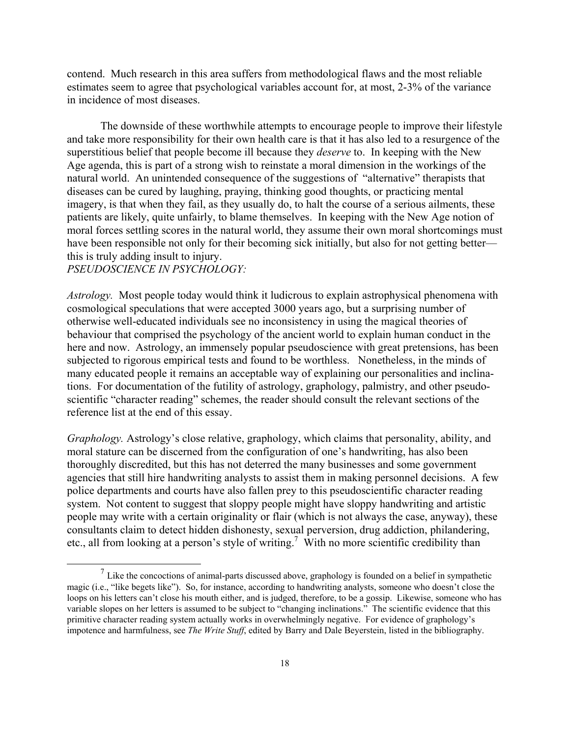contend. Much research in this area suffers from methodological flaws and the most reliable estimates seem to agree that psychological variables account for, at most, 2-3% of the variance in incidence of most diseases.

The downside of these worthwhile attempts to encourage people to improve their lifestyle and take more responsibility for their own health care is that it has also led to a resurgence of the superstitious belief that people become ill because they *deserve* to. In keeping with the New Age agenda, this is part of a strong wish to reinstate a moral dimension in the workings of the natural world. An unintended consequence of the suggestions of "alternative" therapists that diseases can be cured by laughing, praying, thinking good thoughts, or practicing mental imagery, is that when they fail, as they usually do, to halt the course of a serious ailments, these patients are likely, quite unfairly, to blame themselves. In keeping with the New Age notion of moral forces settling scores in the natural world, they assume their own moral shortcomings must have been responsible not only for their becoming sick initially, but also for not getting better this is truly adding insult to injury.

*PSEUDOSCIENCE IN PSYCHOLOGY:*

*Astrology.* Most people today would think it ludicrous to explain astrophysical phenomena with cosmological speculations that were accepted 3000 years ago, but a surprising number of otherwise well-educated individuals see no inconsistency in using the magical theories of behaviour that comprised the psychology of the ancient world to explain human conduct in the here and now. Astrology, an immensely popular pseudoscience with great pretensions, has been subjected to rigorous empirical tests and found to be worthless. Nonetheless, in the minds of many educated people it remains an acceptable way of explaining our personalities and inclinations. For documentation of the futility of astrology, graphology, palmistry, and other pseudoscientific "character reading" schemes, the reader should consult the relevant sections of the reference list at the end of this essay.

*Graphology.* Astrology's close relative, graphology, which claims that personality, ability, and moral stature can be discerned from the configuration of one's handwriting, has also been thoroughly discredited, but this has not deterred the many businesses and some government agencies that still hire handwriting analysts to assist them in making personnel decisions. A few police departments and courts have also fallen prey to this pseudoscientific character reading system. Not content to suggest that sloppy people might have sloppy handwriting and artistic people may write with a certain originality or flair (which is not always the case, anyway), these consultants claim to detect hidden dishonesty, sexual perversion, drug addiction, philandering, etc., all from looking at a person's style of writing.<sup>7</sup> With no more scientific credibility than

 $<sup>7</sup>$  Like the concoctions of animal-parts discussed above, graphology is founded on a belief in sympathetic</sup> magic (i.e., "like begets like"). So, for instance, according to handwriting analysts, someone who doesn't close the loops on his letters can't close his mouth either, and is judged, therefore, to be a gossip. Likewise, someone who has variable slopes on her letters is assumed to be subject to "changing inclinations." The scientific evidence that this primitive character reading system actually works in overwhelmingly negative. For evidence of graphology's impotence and harmfulness, see *The Write Stuff*, edited by Barry and Dale Beyerstein, listed in the bibliography.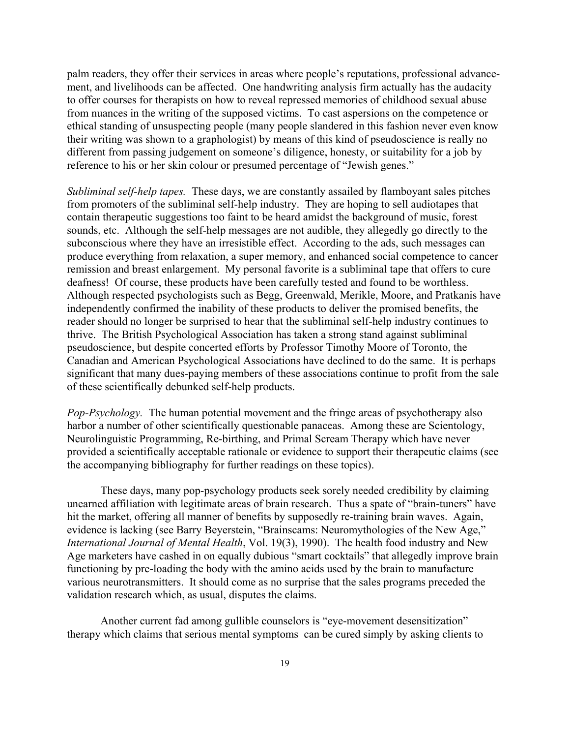palm readers, they offer their services in areas where people's reputations, professional advancement, and livelihoods can be affected. One handwriting analysis firm actually has the audacity to offer courses for therapists on how to reveal repressed memories of childhood sexual abuse from nuances in the writing of the supposed victims. To cast aspersions on the competence or ethical standing of unsuspecting people (many people slandered in this fashion never even know their writing was shown to a graphologist) by means of this kind of pseudoscience is really no different from passing judgement on someone's diligence, honesty, or suitability for a job by reference to his or her skin colour or presumed percentage of "Jewish genes."

*Subliminal self-help tapes.* These days, we are constantly assailed by flamboyant sales pitches from promoters of the subliminal self-help industry. They are hoping to sell audiotapes that contain therapeutic suggestions too faint to be heard amidst the background of music, forest sounds, etc. Although the self-help messages are not audible, they allegedly go directly to the subconscious where they have an irresistible effect. According to the ads, such messages can produce everything from relaxation, a super memory, and enhanced social competence to cancer remission and breast enlargement. My personal favorite is a subliminal tape that offers to cure deafness! Of course, these products have been carefully tested and found to be worthless. Although respected psychologists such as Begg, Greenwald, Merikle, Moore, and Pratkanis have independently confirmed the inability of these products to deliver the promised benefits, the reader should no longer be surprised to hear that the subliminal self-help industry continues to thrive. The British Psychological Association has taken a strong stand against subliminal pseudoscience, but despite concerted efforts by Professor Timothy Moore of Toronto, the Canadian and American Psychological Associations have declined to do the same. It is perhaps significant that many dues-paying members of these associations continue to profit from the sale of these scientifically debunked self-help products.

*Pop-Psychology.* The human potential movement and the fringe areas of psychotherapy also harbor a number of other scientifically questionable panaceas. Among these are Scientology, Neurolinguistic Programming, Re-birthing, and Primal Scream Therapy which have never provided a scientifically acceptable rationale or evidence to support their therapeutic claims (see the accompanying bibliography for further readings on these topics).

These days, many pop-psychology products seek sorely needed credibility by claiming unearned affiliation with legitimate areas of brain research. Thus a spate of "brain-tuners" have hit the market, offering all manner of benefits by supposedly re-training brain waves. Again, evidence is lacking (see Barry Beyerstein, "Brainscams: Neuromythologies of the New Age," *International Journal of Mental Health*, Vol. 19(3), 1990). The health food industry and New Age marketers have cashed in on equally dubious "smart cocktails" that allegedly improve brain functioning by pre-loading the body with the amino acids used by the brain to manufacture various neurotransmitters. It should come as no surprise that the sales programs preceded the validation research which, as usual, disputes the claims.

Another current fad among gullible counselors is "eye-movement desensitization" therapy which claims that serious mental symptoms can be cured simply by asking clients to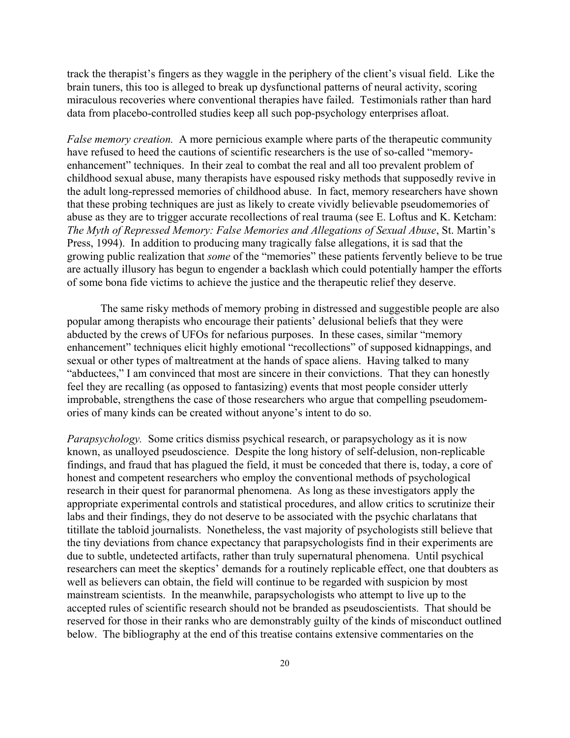track the therapist's fingers as they waggle in the periphery of the client's visual field. Like the brain tuners, this too is alleged to break up dysfunctional patterns of neural activity, scoring miraculous recoveries where conventional therapies have failed. Testimonials rather than hard data from placebo-controlled studies keep all such pop-psychology enterprises afloat.

*False memory creation.* A more pernicious example where parts of the therapeutic community have refused to heed the cautions of scientific researchers is the use of so-called "memoryenhancement" techniques. In their zeal to combat the real and all too prevalent problem of childhood sexual abuse, many therapists have espoused risky methods that supposedly revive in the adult long-repressed memories of childhood abuse. In fact, memory researchers have shown that these probing techniques are just as likely to create vividly believable pseudomemories of abuse as they are to trigger accurate recollections of real trauma (see E. Loftus and K. Ketcham: *The Myth of Repressed Memory: False Memories and Allegations of Sexual Abuse*, St. Martin's Press, 1994). In addition to producing many tragically false allegations, it is sad that the growing public realization that *some* of the "memories" these patients fervently believe to be true are actually illusory has begun to engender a backlash which could potentially hamper the efforts of some bona fide victims to achieve the justice and the therapeutic relief they deserve.

The same risky methods of memory probing in distressed and suggestible people are also popular among therapists who encourage their patients' delusional beliefs that they were abducted by the crews of UFOs for nefarious purposes. In these cases, similar "memory enhancement" techniques elicit highly emotional "recollections" of supposed kidnappings, and sexual or other types of maltreatment at the hands of space aliens. Having talked to many "abductees," I am convinced that most are sincere in their convictions. That they can honestly feel they are recalling (as opposed to fantasizing) events that most people consider utterly improbable, strengthens the case of those researchers who argue that compelling pseudomemories of many kinds can be created without anyone's intent to do so.

*Parapsychology.* Some critics dismiss psychical research, or parapsychology as it is now known, as unalloyed pseudoscience. Despite the long history of self-delusion, non-replicable findings, and fraud that has plagued the field, it must be conceded that there is, today, a core of honest and competent researchers who employ the conventional methods of psychological research in their quest for paranormal phenomena. As long as these investigators apply the appropriate experimental controls and statistical procedures, and allow critics to scrutinize their labs and their findings, they do not deserve to be associated with the psychic charlatans that titillate the tabloid journalists. Nonetheless, the vast majority of psychologists still believe that the tiny deviations from chance expectancy that parapsychologists find in their experiments are due to subtle, undetected artifacts, rather than truly supernatural phenomena. Until psychical researchers can meet the skeptics' demands for a routinely replicable effect, one that doubters as well as believers can obtain, the field will continue to be regarded with suspicion by most mainstream scientists. In the meanwhile, parapsychologists who attempt to live up to the accepted rules of scientific research should not be branded as pseudoscientists. That should be reserved for those in their ranks who are demonstrably guilty of the kinds of misconduct outlined below. The bibliography at the end of this treatise contains extensive commentaries on the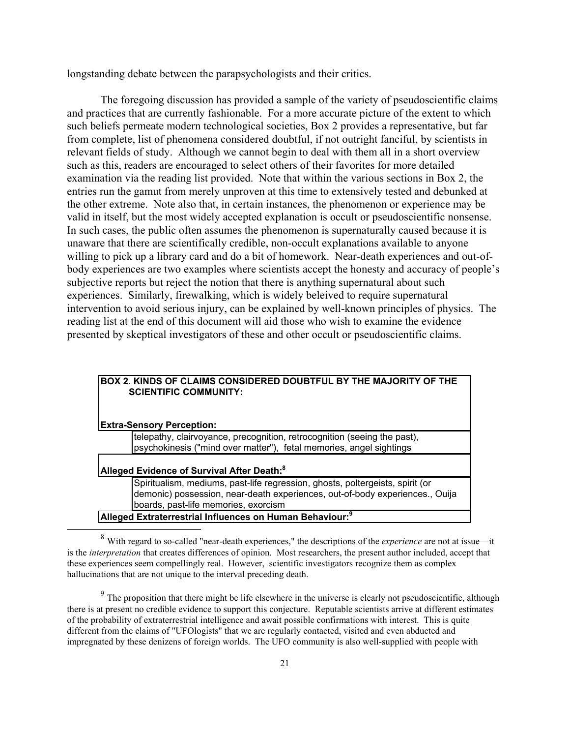longstanding debate between the parapsychologists and their critics.

The foregoing discussion has provided a sample of the variety of pseudoscientific claims and practices that are currently fashionable. For a more accurate picture of the extent to which such beliefs permeate modern technological societies, Box 2 provides a representative, but far from complete, list of phenomena considered doubtful, if not outright fanciful, by scientists in relevant fields of study. Although we cannot begin to deal with them all in a short overview such as this, readers are encouraged to select others of their favorites for more detailed examination via the reading list provided. Note that within the various sections in Box 2, the entries run the gamut from merely unproven at this time to extensively tested and debunked at the other extreme. Note also that, in certain instances, the phenomenon or experience may be valid in itself, but the most widely accepted explanation is occult or pseudoscientific nonsense. In such cases, the public often assumes the phenomenon is supernaturally caused because it is unaware that there are scientifically credible, non-occult explanations available to anyone willing to pick up a library card and do a bit of homework. Near-death experiences and out-ofbody experiences are two examples where scientists accept the honesty and accuracy of people's subjective reports but reject the notion that there is anything supernatural about such experiences. Similarly, firewalking, which is widely beleived to require supernatural intervention to avoid serious injury, can be explained by well-known principles of physics. The reading list at the end of this document will aid those who wish to examine the evidence presented by skeptical investigators of these and other occult or pseudoscientific claims.

| BOX 2. KINDS OF CLAIMS CONSIDERED DOUBTFUL BY THE MAJORITY OF THE<br><b>SCIENTIFIC COMMUNITY:</b>                                                                                                     |  |  |
|-------------------------------------------------------------------------------------------------------------------------------------------------------------------------------------------------------|--|--|
| <b>Extra-Sensory Perception:</b>                                                                                                                                                                      |  |  |
| telepathy, clairvoyance, precognition, retrocognition (seeing the past),<br>psychokinesis ("mind over matter"), fetal memories, angel sightings                                                       |  |  |
| Alleged Evidence of Survival After Death: <sup>8</sup>                                                                                                                                                |  |  |
| Spiritualism, mediums, past-life regression, ghosts, poltergeists, spirit (or<br>demonic) possession, near-death experiences, out-of-body experiences., Ouija<br>boards, past-life memories, exorcism |  |  |
| Alleged Extraterrestrial Influences on Human Behaviour: <sup>9</sup>                                                                                                                                  |  |  |

 <sup>8</sup> With regard to so-called "near-death experiences," the descriptions of the *experience* are not at issue—it is the *interpretation* that creates differences of opinion. Most researchers, the present author included, accept that these experiences seem compellingly real. However, scientific investigators recognize them as complex hallucinations that are not unique to the interval preceding death.

<sup>&</sup>lt;sup>9</sup> The proposition that there might be life elsewhere in the universe is clearly not pseudoscientific, although there is at present no credible evidence to support this conjecture. Reputable scientists arrive at different estimates of the probability of extraterrestrial intelligence and await possible confirmations with interest. This is quite different from the claims of "UFOlogists" that we are regularly contacted, visited and even abducted and impregnated by these denizens of foreign worlds. The UFO community is also well-supplied with people with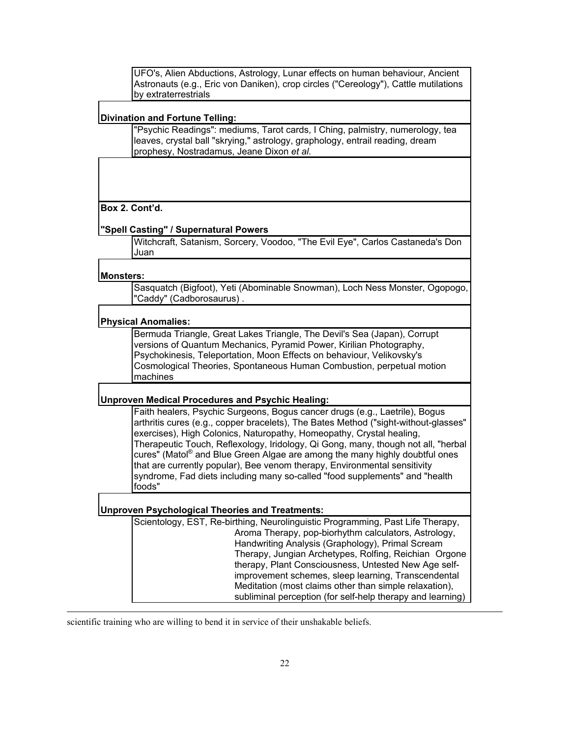UFO's, Alien Abductions, Astrology, Lunar effects on human behaviour, Ancient Astronauts (e.g., Eric von Daniken), crop circles ("Cereology"), Cattle mutilations by extraterrestrials

#### **Divination and Fortune Telling:**

"Psychic Readings": mediums, Tarot cards, I Ching, palmistry, numerology, tea leaves, crystal ball "skrying," astrology, graphology, entrail reading, dream prophesy, Nostradamus, Jeane Dixon *et al.*

### **Box 2. Cont'd.**

#### **"Spell Casting" / Supernatural Powers**

Witchcraft, Satanism, Sorcery, Voodoo, "The Evil Eye", Carlos Castaneda's Don Juan

#### **Monsters:**

 $\overline{a}$ 

Sasquatch (Bigfoot), Yeti (Abominable Snowman), Loch Ness Monster, Ogopogo, 'Caddy" (Cadborosaurus).

#### **Physical Anomalies:**

Bermuda Triangle, Great Lakes Triangle, The Devil's Sea (Japan), Corrupt versions of Quantum Mechanics, Pyramid Power, Kirilian Photography, Psychokinesis, Teleportation, Moon Effects on behaviour, Velikovsky's Cosmological Theories, Spontaneous Human Combustion, perpetual motion machines

### **Unproven Medical Procedures and Psychic Healing:**

Faith healers, Psychic Surgeons, Bogus cancer drugs (e.g., Laetrile), Bogus arthritis cures (e.g., copper bracelets), The Bates Method ("sight-without-glasses" exercises), High Colonics, Naturopathy, Homeopathy, Crystal healing, Therapeutic Touch, Reflexology, Iridology, Qi Gong, many, though not all, "herbal cures" (Matol® and Blue Green Algae are among the many highly doubtful ones that are currently popular), Bee venom therapy, Environmental sensitivity syndrome, Fad diets including many so-called "food supplements" and "health foods"

#### **Unproven Psychological Theories and Treatments:**

Scientology, EST, Re-birthing, Neurolinguistic Programming, Past Life Therapy, Aroma Therapy, pop-biorhythm calculators, Astrology, Handwriting Analysis (Graphology), Primal Scream Therapy, Jungian Archetypes, Rolfing, Reichian Orgone therapy, Plant Consciousness, Untested New Age selfimprovement schemes, sleep learning, Transcendental Meditation (most claims other than simple relaxation), subliminal perception (for self-help therapy and learning)

scientific training who are willing to bend it in service of their unshakable beliefs.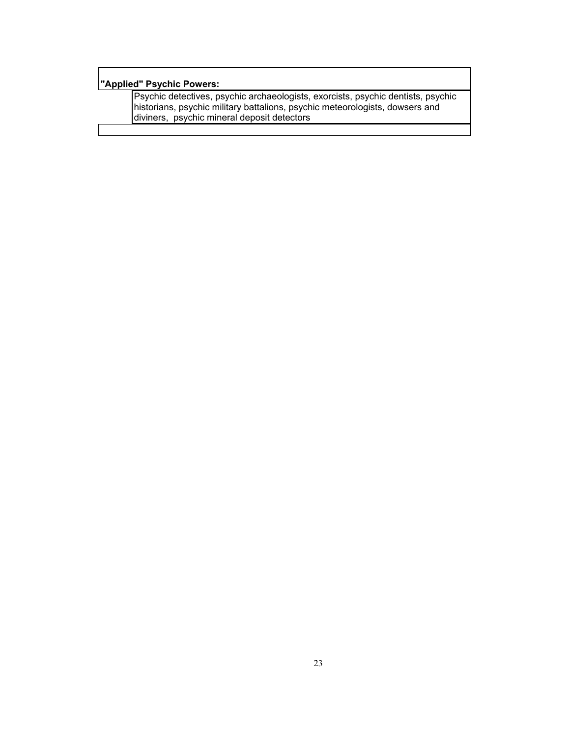# **"Applied" Psychic Powers:**

Psychic detectives, psychic archaeologists, exorcists, psychic dentists, psychic historians, psychic military battalions, psychic meteorologists, dowsers and diviners, psychic mineral deposit detectors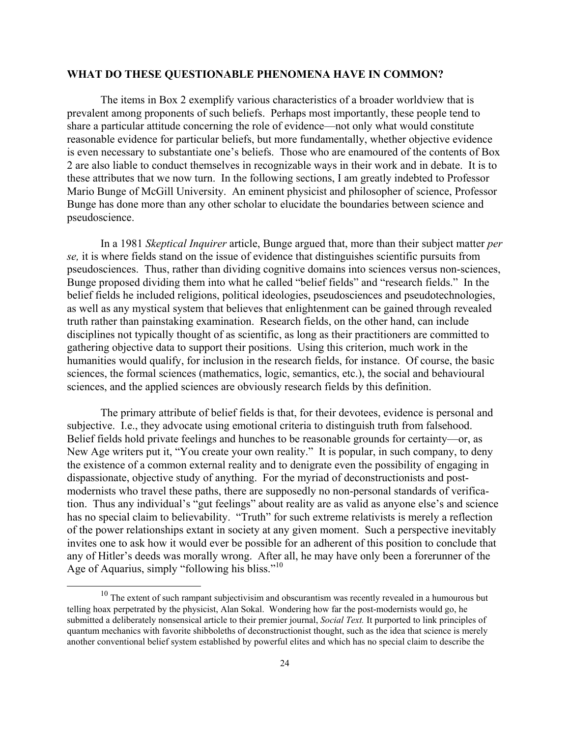# **WHAT DO THESE QUESTIONABLE PHENOMENA HAVE IN COMMON?**

The items in Box 2 exemplify various characteristics of a broader worldview that is prevalent among proponents of such beliefs. Perhaps most importantly, these people tend to share a particular attitude concerning the role of evidence—not only what would constitute reasonable evidence for particular beliefs, but more fundamentally, whether objective evidence is even necessary to substantiate one's beliefs. Those who are enamoured of the contents of Box 2 are also liable to conduct themselves in recognizable ways in their work and in debate. It is to these attributes that we now turn. In the following sections, I am greatly indebted to Professor Mario Bunge of McGill University. An eminent physicist and philosopher of science, Professor Bunge has done more than any other scholar to elucidate the boundaries between science and pseudoscience.

In a 1981 *Skeptical Inquirer* article, Bunge argued that, more than their subject matter *per se,* it is where fields stand on the issue of evidence that distinguishes scientific pursuits from pseudosciences. Thus, rather than dividing cognitive domains into sciences versus non-sciences, Bunge proposed dividing them into what he called "belief fields" and "research fields." In the belief fields he included religions, political ideologies, pseudosciences and pseudotechnologies, as well as any mystical system that believes that enlightenment can be gained through revealed truth rather than painstaking examination. Research fields, on the other hand, can include disciplines not typically thought of as scientific, as long as their practitioners are committed to gathering objective data to support their positions. Using this criterion, much work in the humanities would qualify, for inclusion in the research fields, for instance. Of course, the basic sciences, the formal sciences (mathematics, logic, semantics, etc.), the social and behavioural sciences, and the applied sciences are obviously research fields by this definition.

The primary attribute of belief fields is that, for their devotees, evidence is personal and subjective. I.e., they advocate using emotional criteria to distinguish truth from falsehood. Belief fields hold private feelings and hunches to be reasonable grounds for certainty—or, as New Age writers put it, "You create your own reality." It is popular, in such company, to deny the existence of a common external reality and to denigrate even the possibility of engaging in dispassionate, objective study of anything. For the myriad of deconstructionists and postmodernists who travel these paths, there are supposedly no non-personal standards of verification. Thus any individual's "gut feelings" about reality are as valid as anyone else's and science has no special claim to believability. "Truth" for such extreme relativists is merely a reflection of the power relationships extant in society at any given moment. Such a perspective inevitably invites one to ask how it would ever be possible for an adherent of this position to conclude that any of Hitler's deeds was morally wrong. After all, he may have only been a forerunner of the Age of Aquarius, simply "following his bliss."<sup>10</sup>

 $\overline{a}$ 

 $10$  The extent of such rampant subjectivisim and obscurantism was recently revealed in a humourous but telling hoax perpetrated by the physicist, Alan Sokal. Wondering how far the post-modernists would go, he submitted a deliberately nonsensical article to their premier journal, *Social Text.* It purported to link principles of quantum mechanics with favorite shibboleths of deconstructionist thought, such as the idea that science is merely another conventional belief system established by powerful elites and which has no special claim to describe the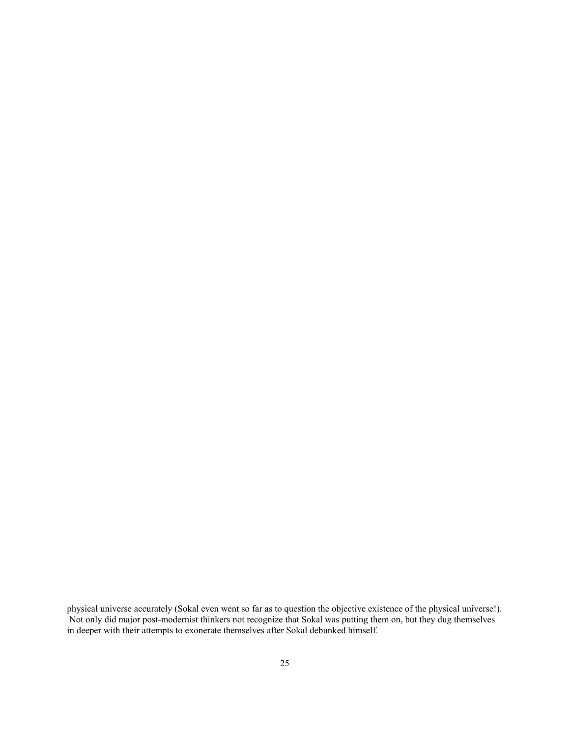-

physical universe accurately (Sokal even went so far as to question the objective existence of the physical universe!). Not only did major post-modernist thinkers not recognize that Sokal was putting them on, but they dug themselves in deeper with their attempts to exonerate themselves after Sokal debunked himself.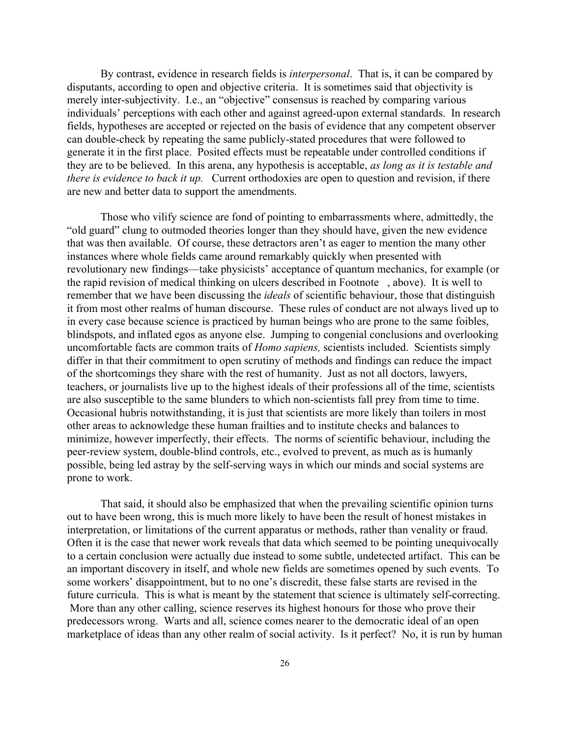By contrast, evidence in research fields is *interpersonal*. That is, it can be compared by disputants, according to open and objective criteria. It is sometimes said that objectivity is merely inter-subjectivity. I.e., an "objective" consensus is reached by comparing various individuals' perceptions with each other and against agreed-upon external standards. In research fields, hypotheses are accepted or rejected on the basis of evidence that any competent observer can double-check by repeating the same publicly-stated procedures that were followed to generate it in the first place. Posited effects must be repeatable under controlled conditions if they are to be believed. In this arena, any hypothesis is acceptable, *as long as it is testable and there is evidence to back it up.* Current orthodoxies are open to question and revision, if there are new and better data to support the amendments.

Those who vilify science are fond of pointing to embarrassments where, admittedly, the "old guard" clung to outmoded theories longer than they should have, given the new evidence that was then available. Of course, these detractors aren't as eager to mention the many other instances where whole fields came around remarkably quickly when presented with revolutionary new findings—take physicists' acceptance of quantum mechanics, for example (or the rapid revision of medical thinking on ulcers described in Footnote , above). It is well to remember that we have been discussing the *ideals* of scientific behaviour, those that distinguish it from most other realms of human discourse. These rules of conduct are not always lived up to in every case because science is practiced by human beings who are prone to the same foibles, blindspots, and inflated egos as anyone else. Jumping to congenial conclusions and overlooking uncomfortable facts are common traits of *Homo sapiens,* scientists included. Scientists simply differ in that their commitment to open scrutiny of methods and findings can reduce the impact of the shortcomings they share with the rest of humanity. Just as not all doctors, lawyers, teachers, or journalists live up to the highest ideals of their professions all of the time, scientists are also susceptible to the same blunders to which non-scientists fall prey from time to time. Occasional hubris notwithstanding, it is just that scientists are more likely than toilers in most other areas to acknowledge these human frailties and to institute checks and balances to minimize, however imperfectly, their effects. The norms of scientific behaviour, including the peer-review system, double-blind controls, etc., evolved to prevent, as much as is humanly possible, being led astray by the self-serving ways in which our minds and social systems are prone to work.

That said, it should also be emphasized that when the prevailing scientific opinion turns out to have been wrong, this is much more likely to have been the result of honest mistakes in interpretation, or limitations of the current apparatus or methods, rather than venality or fraud. Often it is the case that newer work reveals that data which seemed to be pointing unequivocally to a certain conclusion were actually due instead to some subtle, undetected artifact. This can be an important discovery in itself, and whole new fields are sometimes opened by such events. To some workers' disappointment, but to no one's discredit, these false starts are revised in the future curricula. This is what is meant by the statement that science is ultimately self-correcting. More than any other calling, science reserves its highest honours for those who prove their predecessors wrong. Warts and all, science comes nearer to the democratic ideal of an open marketplace of ideas than any other realm of social activity. Is it perfect? No, it is run by human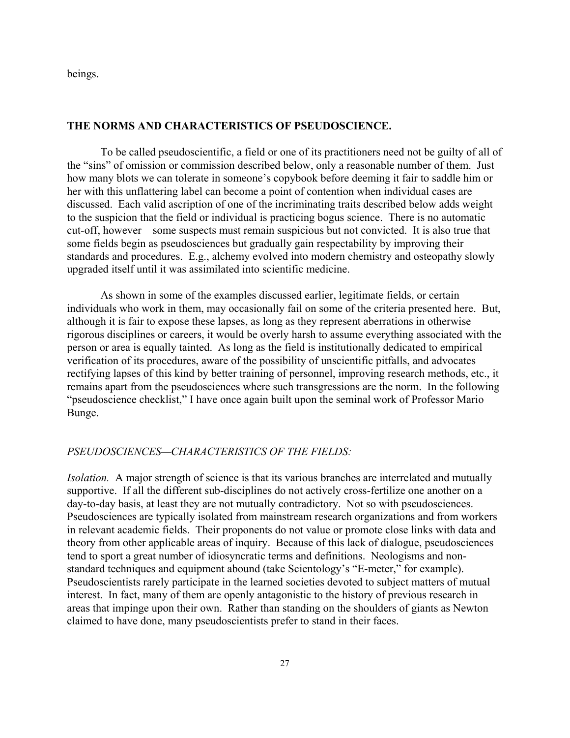beings.

#### **THE NORMS AND CHARACTERISTICS OF PSEUDOSCIENCE.**

To be called pseudoscientific, a field or one of its practitioners need not be guilty of all of the "sins" of omission or commission described below, only a reasonable number of them. Just how many blots we can tolerate in someone's copybook before deeming it fair to saddle him or her with this unflattering label can become a point of contention when individual cases are discussed. Each valid ascription of one of the incriminating traits described below adds weight to the suspicion that the field or individual is practicing bogus science. There is no automatic cut-off, however—some suspects must remain suspicious but not convicted. It is also true that some fields begin as pseudosciences but gradually gain respectability by improving their standards and procedures. E.g., alchemy evolved into modern chemistry and osteopathy slowly upgraded itself until it was assimilated into scientific medicine.

As shown in some of the examples discussed earlier, legitimate fields, or certain individuals who work in them, may occasionally fail on some of the criteria presented here. But, although it is fair to expose these lapses, as long as they represent aberrations in otherwise rigorous disciplines or careers, it would be overly harsh to assume everything associated with the person or area is equally tainted. As long as the field is institutionally dedicated to empirical verification of its procedures, aware of the possibility of unscientific pitfalls, and advocates rectifying lapses of this kind by better training of personnel, improving research methods, etc., it remains apart from the pseudosciences where such transgressions are the norm. In the following "pseudoscience checklist," I have once again built upon the seminal work of Professor Mario Bunge.

# *PSEUDOSCIENCES—CHARACTERISTICS OF THE FIELDS:*

*Isolation.* A major strength of science is that its various branches are interrelated and mutually supportive. If all the different sub-disciplines do not actively cross-fertilize one another on a day-to-day basis, at least they are not mutually contradictory. Not so with pseudosciences. Pseudosciences are typically isolated from mainstream research organizations and from workers in relevant academic fields. Their proponents do not value or promote close links with data and theory from other applicable areas of inquiry. Because of this lack of dialogue, pseudosciences tend to sport a great number of idiosyncratic terms and definitions. Neologisms and nonstandard techniques and equipment abound (take Scientology's "E-meter," for example). Pseudoscientists rarely participate in the learned societies devoted to subject matters of mutual interest. In fact, many of them are openly antagonistic to the history of previous research in areas that impinge upon their own. Rather than standing on the shoulders of giants as Newton claimed to have done, many pseudoscientists prefer to stand in their faces.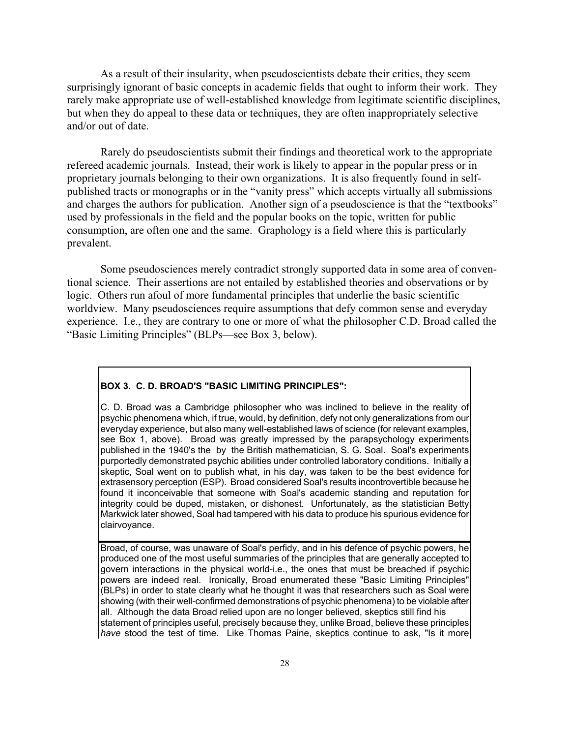As a result of their insularity, when pseudoscientists debate their critics, they seem surprisingly ignorant of basic concepts in academic fields that ought to inform their work. They rarely make appropriate use of well-established knowledge from legitimate scientific disciplines, but when they do appeal to these data or techniques, they are often inappropriately selective and/or out of date.

Rarely do pseudoscientists submit their findings and theoretical work to the appropriate refereed academic journals. Instead, their work is likely to appear in the popular press or in proprietary journals belonging to their own organizations. It is also frequently found in selfpublished tracts or monographs or in the "vanity press" which accepts virtually all submissions and charges the authors for publication. Another sign of a pseudoscience is that the "textbooks" used by professionals in the field and the popular books on the topic, written for public consumption, are often one and the same. Graphology is a field where this is particularly prevalent.

Some pseudosciences merely contradict strongly supported data in some area of conventional science. Their assertions are not entailed by established theories and observations or by logic. Others run afoul of more fundamental principles that underlie the basic scientific worldview. Many pseudosciences require assumptions that defy common sense and everyday experience. I.e., they are contrary to one or more of what the philosopher C.D. Broad called the "Basic Limiting Principles" (BLPs—see Box 3, below).

#### **BOX 3. C. D. BROAD'S "BASIC LIMITING PRINCIPLES":**

C. D. Broad was a Cambridge philosopher who was inclined to believe in the reality of psychic phenomena which, if true, would, by definition, defy not only generalizations from our everyday experience, but also many well-established laws of science (for relevant examples, see Box 1, above). Broad was greatly impressed by the parapsychology experiments published in the 1940's the by the British mathematician, S. G. Soal. Soal's experiments purportedly demonstrated psychic abilities under controlled laboratory conditions. Initially a skeptic, Soal went on to publish what, in his day, was taken to be the best evidence for extrasensory perception (ESP). Broad considered Soal's results incontrovertible because he found it inconceivable that someone with Soal's academic standing and reputation for integrity could be duped, mistaken, or dishonest. Unfortunately, as the statistician Betty Markwick later showed, Soal had tampered with his data to produce his spurious evidence for clairvoyance.

Broad, of course, was unaware of Soal's perfidy, and in his defence of psychic powers, he produced one of the most useful summaries of the principles that are generally accepted to govern interactions in the physical world-i.e., the ones that must be breached if psychic powers are indeed real. Ironically, Broad enumerated these "Basic Limiting Principles" (BLPs) in order to state clearly what he thought it was that researchers such as Soal were showing (with their well-confirmed demonstrations of psychic phenomena) to be violable after all. Although the data Broad relied upon are no longer believed, skeptics still find his statement of principles useful, precisely because they, unlike Broad, believe these principles *have* stood the test of time. Like Thomas Paine, skeptics continue to ask, "Is it more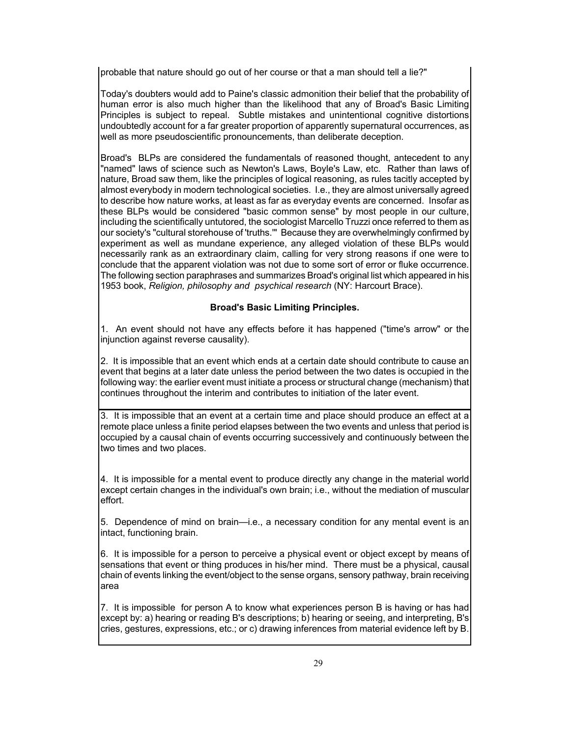probable that nature should go out of her course or that a man should tell a lie?"

Today's doubters would add to Paine's classic admonition their belief that the probability of human error is also much higher than the likelihood that any of Broad's Basic Limiting Principles is subject to repeal. Subtle mistakes and unintentional cognitive distortions undoubtedly account for a far greater proportion of apparently supernatural occurrences, as well as more pseudoscientific pronouncements, than deliberate deception.

Broad's BLPs are considered the fundamentals of reasoned thought, antecedent to any "named" laws of science such as Newton's Laws, Boyle's Law, etc. Rather than laws of nature, Broad saw them, like the principles of logical reasoning, as rules tacitly accepted by almost everybody in modern technological societies. I.e., they are almost universally agreed to describe how nature works, at least as far as everyday events are concerned. Insofar as these BLPs would be considered "basic common sense" by most people in our culture, including the scientifically untutored, the sociologist Marcello Truzzi once referred to them as our society's "cultural storehouse of 'truths.'" Because they are overwhelmingly confirmed by experiment as well as mundane experience, any alleged violation of these BLPs would necessarily rank as an extraordinary claim, calling for very strong reasons if one were to conclude that the apparent violation was not due to some sort of error or fluke occurrence. The following section paraphrases and summarizes Broad's original list which appeared in his 1953 book, *Religion, philosophy and psychical research* (NY: Harcourt Brace).

# **Broad's Basic Limiting Principles.**

1. An event should not have any effects before it has happened ("time's arrow" or the injunction against reverse causality).

2. It is impossible that an event which ends at a certain date should contribute to cause an event that begins at a later date unless the period between the two dates is occupied in the following way: the earlier event must initiate a process or structural change (mechanism) that continues throughout the interim and contributes to initiation of the later event.

3. It is impossible that an event at a certain time and place should produce an effect at a remote place unless a finite period elapses between the two events and unless that period is occupied by a causal chain of events occurring successively and continuously between the two times and two places.

4. It is impossible for a mental event to produce directly any change in the material world except certain changes in the individual's own brain; i.e., without the mediation of muscular effort.

5. Dependence of mind on brain—i.e., a necessary condition for any mental event is an intact, functioning brain.

6. It is impossible for a person to perceive a physical event or object except by means of sensations that event or thing produces in his/her mind. There must be a physical, causal chain of events linking the event/object to the sense organs, sensory pathway, brain receiving area

7. It is impossible for person A to know what experiences person B is having or has had except by: a) hearing or reading B's descriptions; b) hearing or seeing, and interpreting, B's cries, gestures, expressions, etc.; or c) drawing inferences from material evidence left by B.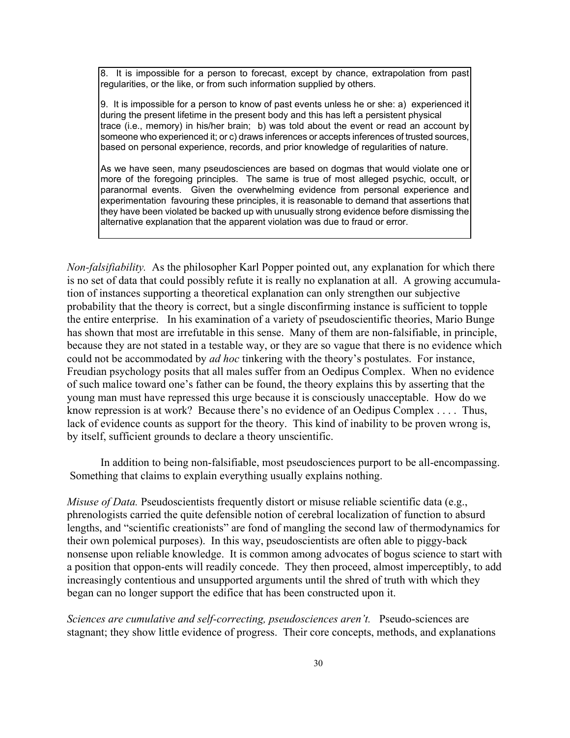8. It is impossible for a person to forecast, except by chance, extrapolation from past regularities, or the like, or from such information supplied by others.

9. It is impossible for a person to know of past events unless he or she: a) experienced it during the present lifetime in the present body and this has left a persistent physical trace (i.e., memory) in his/her brain; b) was told about the event or read an account by someone who experienced it; or c) draws inferences or accepts inferences of trusted sources, based on personal experience, records, and prior knowledge of regularities of nature.

As we have seen, many pseudosciences are based on dogmas that would violate one or more of the foregoing principles. The same is true of most alleged psychic, occult, or paranormal events. Given the overwhelming evidence from personal experience and experimentation favouring these principles, it is reasonable to demand that assertions that they have been violated be backed up with unusually strong evidence before dismissing the alternative explanation that the apparent violation was due to fraud or error.

*Non-falsifiability.* As the philosopher Karl Popper pointed out, any explanation for which there is no set of data that could possibly refute it is really no explanation at all. A growing accumulation of instances supporting a theoretical explanation can only strengthen our subjective probability that the theory is correct, but a single disconfirming instance is sufficient to topple the entire enterprise. In his examination of a variety of pseudoscientific theories, Mario Bunge has shown that most are irrefutable in this sense. Many of them are non-falsifiable, in principle, because they are not stated in a testable way, or they are so vague that there is no evidence which could not be accommodated by *ad hoc* tinkering with the theory's postulates. For instance, Freudian psychology posits that all males suffer from an Oedipus Complex. When no evidence of such malice toward one's father can be found, the theory explains this by asserting that the young man must have repressed this urge because it is consciously unacceptable. How do we know repression is at work? Because there's no evidence of an Oedipus Complex . . . . Thus, lack of evidence counts as support for the theory. This kind of inability to be proven wrong is, by itself, sufficient grounds to declare a theory unscientific.

In addition to being non-falsifiable, most pseudosciences purport to be all-encompassing. Something that claims to explain everything usually explains nothing.

*Misuse of Data.* Pseudoscientists frequently distort or misuse reliable scientific data (e.g., phrenologists carried the quite defensible notion of cerebral localization of function to absurd lengths, and "scientific creationists" are fond of mangling the second law of thermodynamics for their own polemical purposes). In this way, pseudoscientists are often able to piggy-back nonsense upon reliable knowledge. It is common among advocates of bogus science to start with a position that oppon-ents will readily concede. They then proceed, almost imperceptibly, to add increasingly contentious and unsupported arguments until the shred of truth with which they began can no longer support the edifice that has been constructed upon it.

*Sciences are cumulative and self-correcting, pseudosciences aren't.* Pseudo-sciences are stagnant; they show little evidence of progress. Their core concepts, methods, and explanations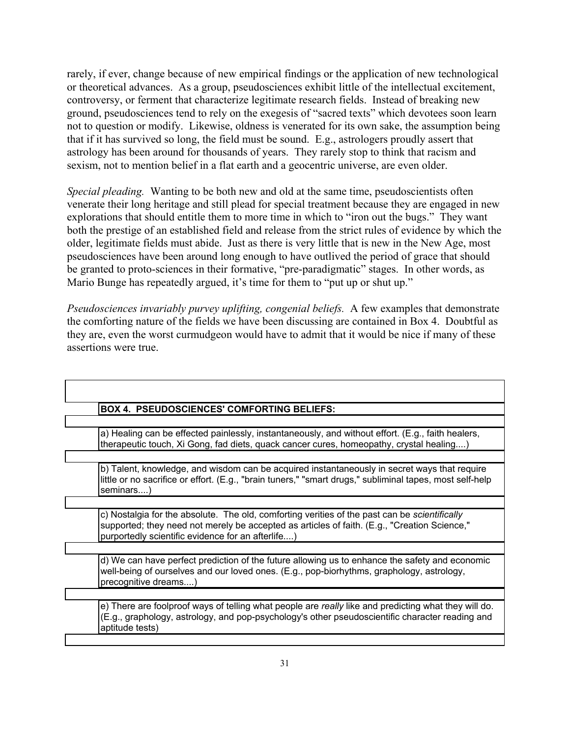rarely, if ever, change because of new empirical findings or the application of new technological or theoretical advances. As a group, pseudosciences exhibit little of the intellectual excitement, controversy, or ferment that characterize legitimate research fields. Instead of breaking new ground, pseudosciences tend to rely on the exegesis of "sacred texts" which devotees soon learn not to question or modify. Likewise, oldness is venerated for its own sake, the assumption being that if it has survived so long, the field must be sound. E.g., astrologers proudly assert that astrology has been around for thousands of years. They rarely stop to think that racism and sexism, not to mention belief in a flat earth and a geocentric universe, are even older.

*Special pleading.* Wanting to be both new and old at the same time, pseudoscientists often venerate their long heritage and still plead for special treatment because they are engaged in new explorations that should entitle them to more time in which to "iron out the bugs." They want both the prestige of an established field and release from the strict rules of evidence by which the older, legitimate fields must abide. Just as there is very little that is new in the New Age, most pseudosciences have been around long enough to have outlived the period of grace that should be granted to proto-sciences in their formative, "pre-paradigmatic" stages. In other words, as Mario Bunge has repeatedly argued, it's time for them to "put up or shut up."

*Pseudosciences invariably purvey uplifting, congenial beliefs.* A few examples that demonstrate the comforting nature of the fields we have been discussing are contained in Box 4. Doubtful as they are, even the worst curmudgeon would have to admit that it would be nice if many of these assertions were true.

| <b>BOX 4. PSEUDOSCIENCES' COMFORTING BELIEFS:</b>                                                                                                                                                                                                         |
|-----------------------------------------------------------------------------------------------------------------------------------------------------------------------------------------------------------------------------------------------------------|
|                                                                                                                                                                                                                                                           |
| a) Healing can be effected painlessly, instantaneously, and without effort. (E.g., faith healers,<br>therapeutic touch, Xi Gong, fad diets, quack cancer cures, homeopathy, crystal healing)                                                              |
|                                                                                                                                                                                                                                                           |
| b) Talent, knowledge, and wisdom can be acquired instantaneously in secret ways that require<br>little or no sacrifice or effort. (E.g., "brain tuners," "smart drugs," subliminal tapes, most self-help<br>seminars)                                     |
|                                                                                                                                                                                                                                                           |
| c) Nostalgia for the absolute. The old, comforting verities of the past can be <i>scientifically</i><br>supported; they need not merely be accepted as articles of faith. (E.g., "Creation Science,"<br>purportedly scientific evidence for an afterlife) |
|                                                                                                                                                                                                                                                           |
| d) We can have perfect prediction of the future allowing us to enhance the safety and economic<br>well-being of ourselves and our loved ones. (E.g., pop-biorhythms, graphology, astrology,<br>precognitive dreams)                                       |
|                                                                                                                                                                                                                                                           |
| e) There are foolproof ways of telling what people are really like and predicting what they will do.<br>(E.g., graphology, astrology, and pop-psychology's other pseudoscientific character reading and<br>aptitude tests)                                |
|                                                                                                                                                                                                                                                           |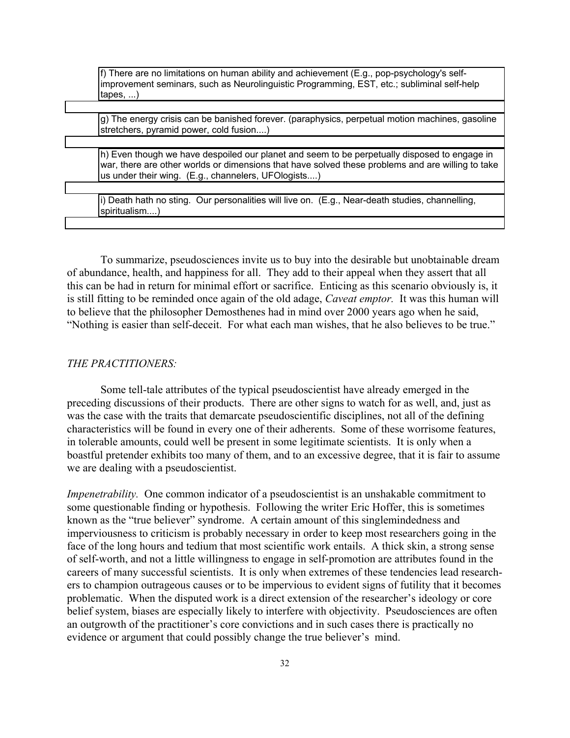| If) There are no limitations on human ability and achievement (E.g., pop-psychology's self- |
|---------------------------------------------------------------------------------------------|
| limprovement seminars, such as Neurolinguistic Programming, EST, etc.; subliminal self-help |
| (tapes, )                                                                                   |

g) The energy crisis can be banished forever. (paraphysics, perpetual motion machines, gasoline stretchers, pyramid power, cold fusion....)

h) Even though we have despoiled our planet and seem to be perpetually disposed to engage in war, there are other worlds or dimensions that have solved these problems and are willing to take us under their wing. (E.g., channelers, UFOlogists....)

i) Death hath no sting. Our personalities will live on. (E.g., Near-death studies, channelling, spiritualism....)

To summarize, pseudosciences invite us to buy into the desirable but unobtainable dream of abundance, health, and happiness for all. They add to their appeal when they assert that all this can be had in return for minimal effort or sacrifice. Enticing as this scenario obviously is, it is still fitting to be reminded once again of the old adage, *Caveat emptor.* It was this human will to believe that the philosopher Demosthenes had in mind over 2000 years ago when he said, "Nothing is easier than self-deceit. For what each man wishes, that he also believes to be true."

# *THE PRACTITIONERS:*

Some tell-tale attributes of the typical pseudoscientist have already emerged in the preceding discussions of their products. There are other signs to watch for as well, and, just as was the case with the traits that demarcate pseudoscientific disciplines, not all of the defining characteristics will be found in every one of their adherents. Some of these worrisome features, in tolerable amounts, could well be present in some legitimate scientists. It is only when a boastful pretender exhibits too many of them, and to an excessive degree, that it is fair to assume we are dealing with a pseudoscientist.

*Impenetrability*. One common indicator of a pseudoscientist is an unshakable commitment to some questionable finding or hypothesis. Following the writer Eric Hoffer, this is sometimes known as the "true believer" syndrome. A certain amount of this singlemindedness and imperviousness to criticism is probably necessary in order to keep most researchers going in the face of the long hours and tedium that most scientific work entails. A thick skin, a strong sense of self-worth, and not a little willingness to engage in self-promotion are attributes found in the careers of many successful scientists. It is only when extremes of these tendencies lead researchers to champion outrageous causes or to be impervious to evident signs of futility that it becomes problematic. When the disputed work is a direct extension of the researcher's ideology or core belief system, biases are especially likely to interfere with objectivity. Pseudosciences are often an outgrowth of the practitioner's core convictions and in such cases there is practically no evidence or argument that could possibly change the true believer's mind.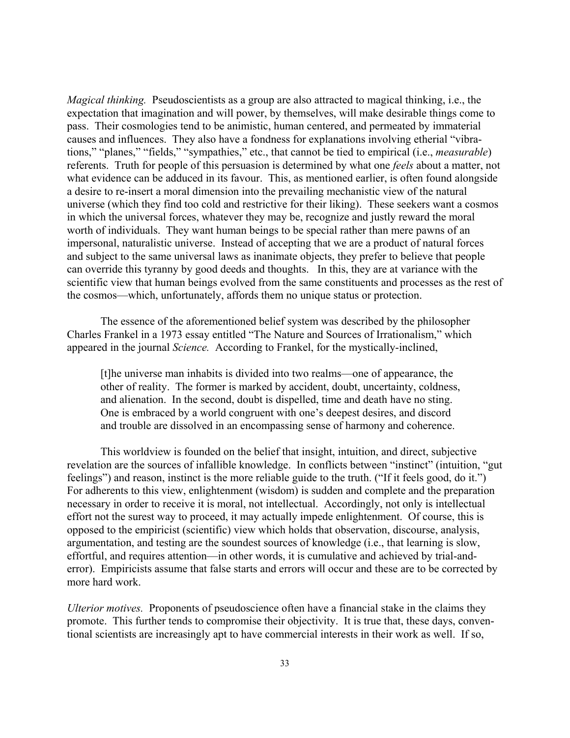*Magical thinking.* Pseudoscientists as a group are also attracted to magical thinking, i.e., the expectation that imagination and will power, by themselves, will make desirable things come to pass. Their cosmologies tend to be animistic, human centered, and permeated by immaterial causes and influences. They also have a fondness for explanations involving etherial "vibrations," "planes," "fields," "sympathies," etc., that cannot be tied to empirical (i.e., *measurable*) referents. Truth for people of this persuasion is determined by what one *feels* about a matter, not what evidence can be adduced in its favour. This, as mentioned earlier, is often found alongside a desire to re-insert a moral dimension into the prevailing mechanistic view of the natural universe (which they find too cold and restrictive for their liking). These seekers want a cosmos in which the universal forces, whatever they may be, recognize and justly reward the moral worth of individuals. They want human beings to be special rather than mere pawns of an impersonal, naturalistic universe. Instead of accepting that we are a product of natural forces and subject to the same universal laws as inanimate objects, they prefer to believe that people can override this tyranny by good deeds and thoughts. In this, they are at variance with the scientific view that human beings evolved from the same constituents and processes as the rest of the cosmos—which, unfortunately, affords them no unique status or protection.

The essence of the aforementioned belief system was described by the philosopher Charles Frankel in a 1973 essay entitled "The Nature and Sources of Irrationalism," which appeared in the journal *Science.* According to Frankel, for the mystically-inclined,

[t]he universe man inhabits is divided into two realms—one of appearance, the other of reality. The former is marked by accident, doubt, uncertainty, coldness, and alienation. In the second, doubt is dispelled, time and death have no sting. One is embraced by a world congruent with one's deepest desires, and discord and trouble are dissolved in an encompassing sense of harmony and coherence.

This worldview is founded on the belief that insight, intuition, and direct, subjective revelation are the sources of infallible knowledge. In conflicts between "instinct" (intuition, "gut feelings") and reason, instinct is the more reliable guide to the truth. ("If it feels good, do it.") For adherents to this view, enlightenment (wisdom) is sudden and complete and the preparation necessary in order to receive it is moral, not intellectual. Accordingly, not only is intellectual effort not the surest way to proceed, it may actually impede enlightenment. Of course, this is opposed to the empiricist (scientific) view which holds that observation, discourse, analysis, argumentation, and testing are the soundest sources of knowledge (i.e., that learning is slow, effortful, and requires attention—in other words, it is cumulative and achieved by trial-anderror). Empiricists assume that false starts and errors will occur and these are to be corrected by more hard work.

*Ulterior motives.* Proponents of pseudoscience often have a financial stake in the claims they promote. This further tends to compromise their objectivity. It is true that, these days, conventional scientists are increasingly apt to have commercial interests in their work as well. If so,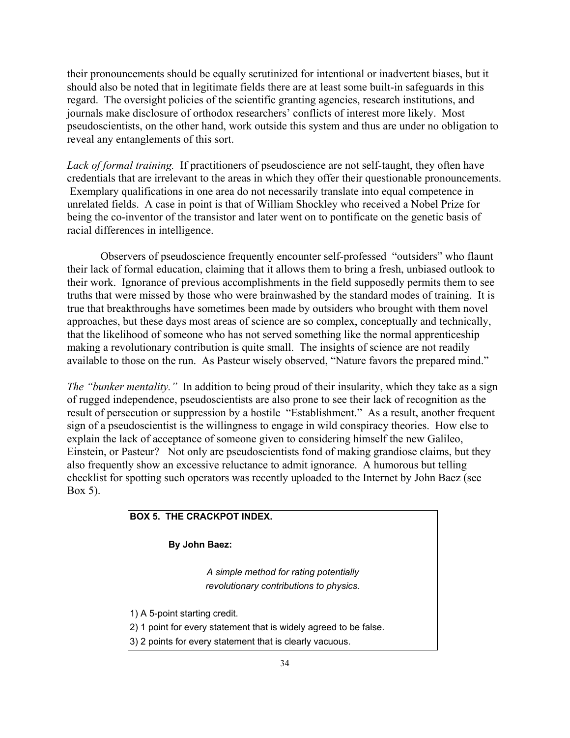their pronouncements should be equally scrutinized for intentional or inadvertent biases, but it should also be noted that in legitimate fields there are at least some built-in safeguards in this regard. The oversight policies of the scientific granting agencies, research institutions, and journals make disclosure of orthodox researchers' conflicts of interest more likely. Most pseudoscientists, on the other hand, work outside this system and thus are under no obligation to reveal any entanglements of this sort.

*Lack of formal training.* If practitioners of pseudoscience are not self-taught, they often have credentials that are irrelevant to the areas in which they offer their questionable pronouncements. Exemplary qualifications in one area do not necessarily translate into equal competence in unrelated fields. A case in point is that of William Shockley who received a Nobel Prize for being the co-inventor of the transistor and later went on to pontificate on the genetic basis of racial differences in intelligence.

Observers of pseudoscience frequently encounter self-professed "outsiders" who flaunt their lack of formal education, claiming that it allows them to bring a fresh, unbiased outlook to their work. Ignorance of previous accomplishments in the field supposedly permits them to see truths that were missed by those who were brainwashed by the standard modes of training. It is true that breakthroughs have sometimes been made by outsiders who brought with them novel approaches, but these days most areas of science are so complex, conceptually and technically, that the likelihood of someone who has not served something like the normal apprenticeship making a revolutionary contribution is quite small. The insights of science are not readily available to those on the run. As Pasteur wisely observed, "Nature favors the prepared mind."

*The "bunker mentality."* In addition to being proud of their insularity, which they take as a sign of rugged independence, pseudoscientists are also prone to see their lack of recognition as the result of persecution or suppression by a hostile "Establishment." As a result, another frequent sign of a pseudoscientist is the willingness to engage in wild conspiracy theories. How else to explain the lack of acceptance of someone given to considering himself the new Galileo, Einstein, or Pasteur? Not only are pseudoscientists fond of making grandiose claims, but they also frequently show an excessive reluctance to admit ignorance. A humorous but telling checklist for spotting such operators was recently uploaded to the Internet by John Baez (see Box 5).

# **BOX 5. THE CRACKPOT INDEX.**

 **By John Baez:**

*A simple method for rating potentially revolutionary contributions to physics.*

1) A 5-point starting credit.

2) 1 point for every statement that is widely agreed to be false.

3) 2 points for every statement that is clearly vacuous.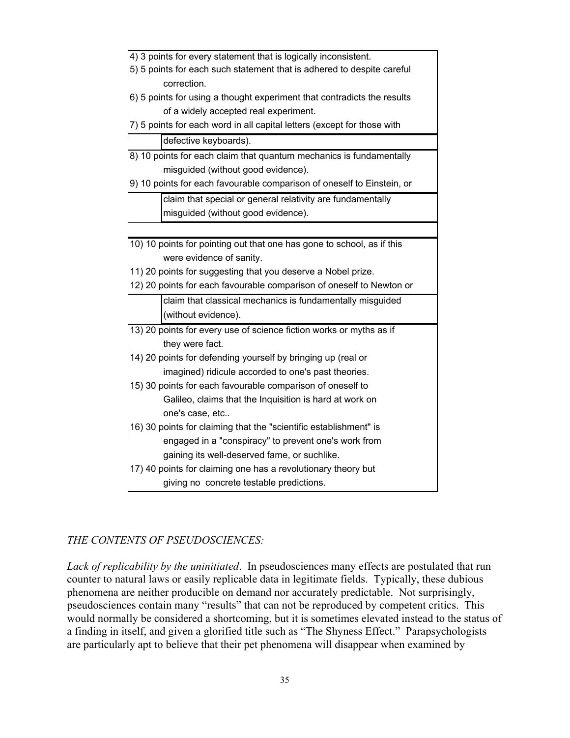# *THE CONTENTS OF PSEUDOSCIENCES:*

*Lack of replicability by the uninitiated*. In pseudosciences many effects are postulated that run counter to natural laws or easily replicable data in legitimate fields. Typically, these dubious phenomena are neither producible on demand nor accurately predictable. Not surprisingly, pseudosciences contain many "results" that can not be reproduced by competent critics. This would normally be considered a shortcoming, but it is sometimes elevated instead to the status of a finding in itself, and given a glorified title such as "The Shyness Effect." Parapsychologists are particularly apt to believe that their pet phenomena will disappear when examined by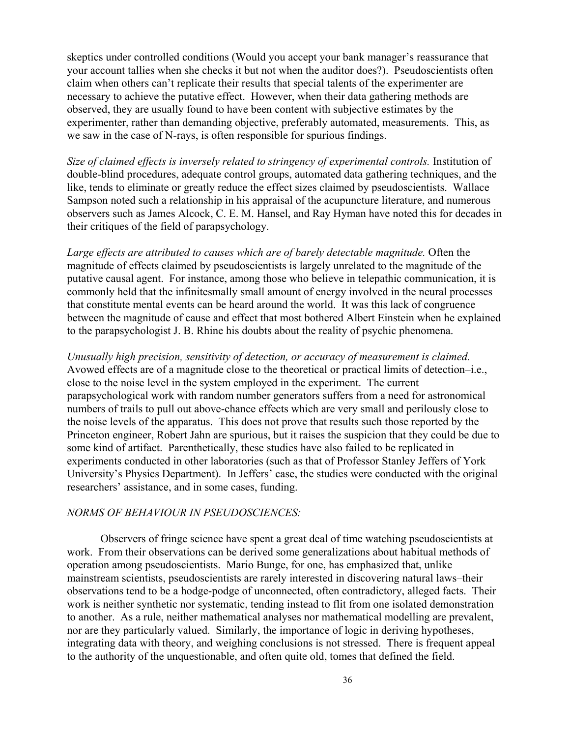skeptics under controlled conditions (Would you accept your bank manager's reassurance that your account tallies when she checks it but not when the auditor does?). Pseudoscientists often claim when others can't replicate their results that special talents of the experimenter are necessary to achieve the putative effect. However, when their data gathering methods are observed, they are usually found to have been content with subjective estimates by the experimenter, rather than demanding objective, preferably automated, measurements. This, as we saw in the case of N-rays, is often responsible for spurious findings.

*Size of claimed effects is inversely related to stringency of experimental controls.* Institution of double-blind procedures, adequate control groups, automated data gathering techniques, and the like, tends to eliminate or greatly reduce the effect sizes claimed by pseudoscientists. Wallace Sampson noted such a relationship in his appraisal of the acupuncture literature, and numerous observers such as James Alcock, C. E. M. Hansel, and Ray Hyman have noted this for decades in their critiques of the field of parapsychology.

*Large effects are attributed to causes which are of barely detectable magnitude.* Often the magnitude of effects claimed by pseudoscientists is largely unrelated to the magnitude of the putative causal agent. For instance, among those who believe in telepathic communication, it is commonly held that the infinitesmally small amount of energy involved in the neural processes that constitute mental events can be heard around the world. It was this lack of congruence between the magnitude of cause and effect that most bothered Albert Einstein when he explained to the parapsychologist J. B. Rhine his doubts about the reality of psychic phenomena.

*Unusually high precision, sensitivity of detection, or accuracy of measurement is claimed.* Avowed effects are of a magnitude close to the theoretical or practical limits of detection–i.e., close to the noise level in the system employed in the experiment. The current parapsychological work with random number generators suffers from a need for astronomical numbers of trails to pull out above-chance effects which are very small and perilously close to the noise levels of the apparatus. This does not prove that results such those reported by the Princeton engineer, Robert Jahn are spurious, but it raises the suspicion that they could be due to some kind of artifact. Parenthetically, these studies have also failed to be replicated in experiments conducted in other laboratories (such as that of Professor Stanley Jeffers of York University's Physics Department). In Jeffers' case, the studies were conducted with the original researchers' assistance, and in some cases, funding.

# *NORMS OF BEHAVIOUR IN PSEUDOSCIENCES:*

Observers of fringe science have spent a great deal of time watching pseudoscientists at work. From their observations can be derived some generalizations about habitual methods of operation among pseudoscientists. Mario Bunge, for one, has emphasized that, unlike mainstream scientists, pseudoscientists are rarely interested in discovering natural laws–their observations tend to be a hodge-podge of unconnected, often contradictory, alleged facts. Their work is neither synthetic nor systematic, tending instead to flit from one isolated demonstration to another. As a rule, neither mathematical analyses nor mathematical modelling are prevalent, nor are they particularly valued. Similarly, the importance of logic in deriving hypotheses, integrating data with theory, and weighing conclusions is not stressed. There is frequent appeal to the authority of the unquestionable, and often quite old, tomes that defined the field.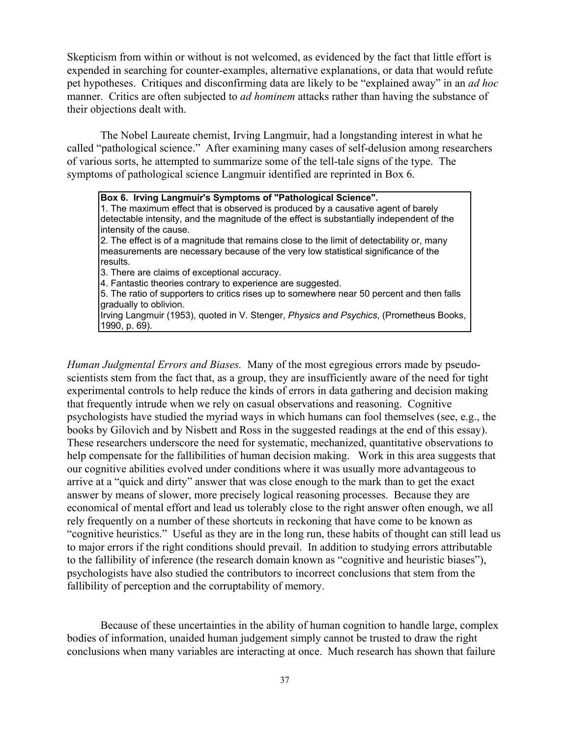Skepticism from within or without is not welcomed, as evidenced by the fact that little effort is expended in searching for counter-examples, alternative explanations, or data that would refute pet hypotheses. Critiques and disconfirming data are likely to be "explained away" in an *ad hoc* manner. Critics are often subjected to *ad hominem* attacks rather than having the substance of their objections dealt with.

The Nobel Laureate chemist, Irving Langmuir, had a longstanding interest in what he called "pathological science." After examining many cases of self-delusion among researchers of various sorts, he attempted to summarize some of the tell-tale signs of the type. The symptoms of pathological science Langmuir identified are reprinted in Box 6.

**Box 6. Irving Langmuir's Symptoms of "Pathological Science".**

1. The maximum effect that is observed is produced by a causative agent of barely detectable intensity, and the magnitude of the effect is substantially independent of the intensity of the cause.

2. The effect is of a magnitude that remains close to the limit of detectability or, many measurements are necessary because of the very low statistical significance of the results.

3. There are claims of exceptional accuracy.

4. Fantastic theories contrary to experience are suggested.

5. The ratio of supporters to critics rises up to somewhere near 50 percent and then falls gradually to oblivion.

Irving Langmuir (1953), quoted in V. Stenger, *Physics and Psychics*, (Prometheus Books, 1990, p. 69).

*Human Judgmental Errors and Biases.* Many of the most egregious errors made by pseudoscientists stem from the fact that, as a group, they are insufficiently aware of the need for tight experimental controls to help reduce the kinds of errors in data gathering and decision making that frequently intrude when we rely on casual observations and reasoning. Cognitive psychologists have studied the myriad ways in which humans can fool themselves (see, e.g., the books by Gilovich and by Nisbett and Ross in the suggested readings at the end of this essay). These researchers underscore the need for systematic, mechanized, quantitative observations to help compensate for the fallibilities of human decision making. Work in this area suggests that our cognitive abilities evolved under conditions where it was usually more advantageous to arrive at a "quick and dirty" answer that was close enough to the mark than to get the exact answer by means of slower, more precisely logical reasoning processes. Because they are economical of mental effort and lead us tolerably close to the right answer often enough, we all rely frequently on a number of these shortcuts in reckoning that have come to be known as "cognitive heuristics." Useful as they are in the long run, these habits of thought can still lead us to major errors if the right conditions should prevail. In addition to studying errors attributable to the fallibility of inference (the research domain known as "cognitive and heuristic biases"), psychologists have also studied the contributors to incorrect conclusions that stem from the fallibility of perception and the corruptability of memory.

Because of these uncertainties in the ability of human cognition to handle large, complex bodies of information, unaided human judgement simply cannot be trusted to draw the right conclusions when many variables are interacting at once. Much research has shown that failure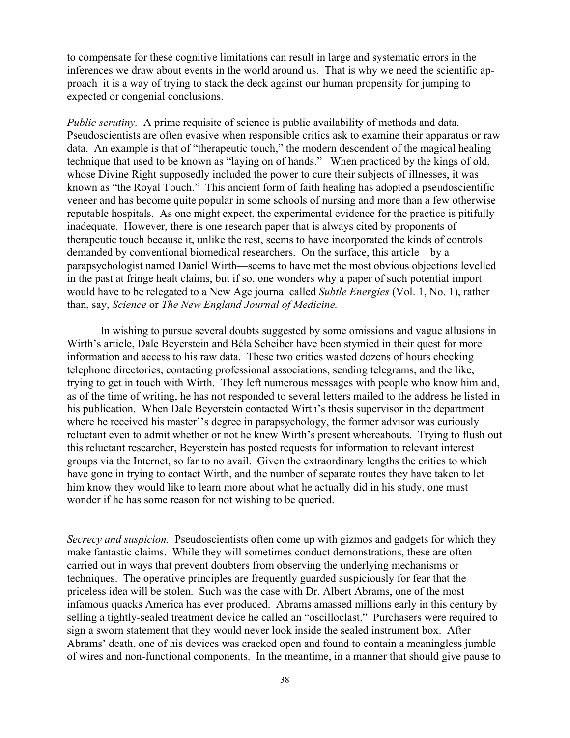to compensate for these cognitive limitations can result in large and systematic errors in the inferences we draw about events in the world around us. That is why we need the scientific approach–it is a way of trying to stack the deck against our human propensity for jumping to expected or congenial conclusions.

*Public scrutiny.* A prime requisite of science is public availability of methods and data. Pseudoscientists are often evasive when responsible critics ask to examine their apparatus or raw data. An example is that of "therapeutic touch," the modern descendent of the magical healing technique that used to be known as "laying on of hands." When practiced by the kings of old, whose Divine Right supposedly included the power to cure their subjects of illnesses, it was known as "the Royal Touch." This ancient form of faith healing has adopted a pseudoscientific veneer and has become quite popular in some schools of nursing and more than a few otherwise reputable hospitals. As one might expect, the experimental evidence for the practice is pitifully inadequate. However, there is one research paper that is always cited by proponents of therapeutic touch because it, unlike the rest, seems to have incorporated the kinds of controls demanded by conventional biomedical researchers. On the surface, this article—by a parapsychologist named Daniel Wirth—seems to have met the most obvious objections levelled in the past at fringe healt claims, but if so, one wonders why a paper of such potential import would have to be relegated to a New Age journal called *Subtle Energies* (Vol. 1, No. 1), rather than, say, *Science* or *The New England Journal of Medicine.*

In wishing to pursue several doubts suggested by some omissions and vague allusions in Wirth's article, Dale Beyerstein and Béla Scheiber have been stymied in their quest for more information and access to his raw data. These two critics wasted dozens of hours checking telephone directories, contacting professional associations, sending telegrams, and the like, trying to get in touch with Wirth. They left numerous messages with people who know him and, as of the time of writing, he has not responded to several letters mailed to the address he listed in his publication. When Dale Beyerstein contacted Wirth's thesis supervisor in the department where he received his master''s degree in parapsychology, the former advisor was curiously reluctant even to admit whether or not he knew Wirth's present whereabouts. Trying to flush out this reluctant researcher, Beyerstein has posted requests for information to relevant interest groups via the Internet, so far to no avail. Given the extraordinary lengths the critics to which have gone in trying to contact Wirth, and the number of separate routes they have taken to let him know they would like to learn more about what he actually did in his study, one must wonder if he has some reason for not wishing to be queried.

*Secrecy and suspicion.* Pseudoscientists often come up with gizmos and gadgets for which they make fantastic claims. While they will sometimes conduct demonstrations, these are often carried out in ways that prevent doubters from observing the underlying mechanisms or techniques. The operative principles are frequently guarded suspiciously for fear that the priceless idea will be stolen. Such was the case with Dr. Albert Abrams, one of the most infamous quacks America has ever produced. Abrams amassed millions early in this century by selling a tightly-sealed treatment device he called an "oscilloclast." Purchasers were required to sign a sworn statement that they would never look inside the sealed instrument box. After Abrams' death, one of his devices was cracked open and found to contain a meaningless jumble of wires and non-functional components. In the meantime, in a manner that should give pause to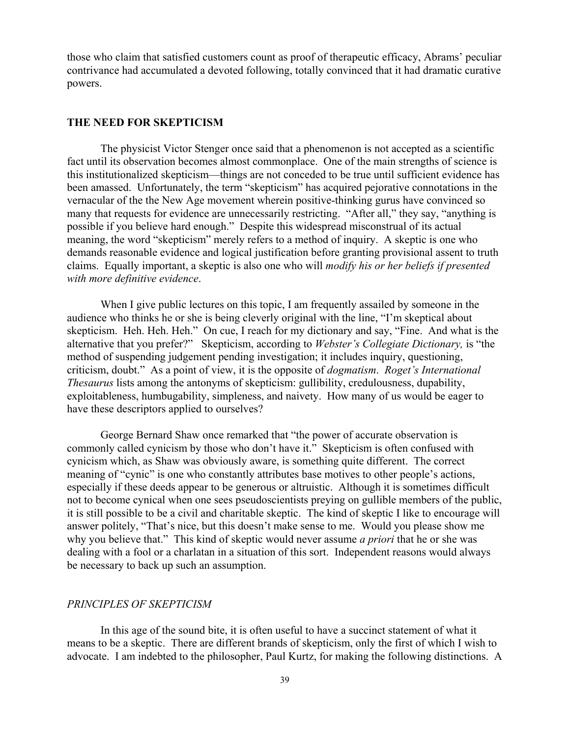those who claim that satisfied customers count as proof of therapeutic efficacy, Abrams' peculiar contrivance had accumulated a devoted following, totally convinced that it had dramatic curative powers.

# **THE NEED FOR SKEPTICISM**

The physicist Victor Stenger once said that a phenomenon is not accepted as a scientific fact until its observation becomes almost commonplace. One of the main strengths of science is this institutionalized skepticism—things are not conceded to be true until sufficient evidence has been amassed. Unfortunately, the term "skepticism" has acquired pejorative connotations in the vernacular of the the New Age movement wherein positive-thinking gurus have convinced so many that requests for evidence are unnecessarily restricting. "After all," they say, "anything is possible if you believe hard enough." Despite this widespread misconstrual of its actual meaning, the word "skepticism" merely refers to a method of inquiry. A skeptic is one who demands reasonable evidence and logical justification before granting provisional assent to truth claims. Equally important, a skeptic is also one who will *modify his or her beliefs if presented with more definitive evidence*.

When I give public lectures on this topic, I am frequently assailed by someone in the audience who thinks he or she is being cleverly original with the line, "I'm skeptical about skepticism. Heh. Heh. Heh." On cue, I reach for my dictionary and say, "Fine. And what is the alternative that you prefer?" Skepticism, according to *Webster's Collegiate Dictionary,* is "the method of suspending judgement pending investigation; it includes inquiry, questioning, criticism, doubt." As a point of view, it is the opposite of *dogmatism*. *Roget's International Thesaurus* lists among the antonyms of skepticism: gullibility, credulousness, dupability, exploitableness, humbugability, simpleness, and naivety. How many of us would be eager to have these descriptors applied to ourselves?

George Bernard Shaw once remarked that "the power of accurate observation is commonly called cynicism by those who don't have it." Skepticism is often confused with cynicism which, as Shaw was obviously aware, is something quite different. The correct meaning of "cynic" is one who constantly attributes base motives to other people's actions, especially if these deeds appear to be generous or altruistic. Although it is sometimes difficult not to become cynical when one sees pseudoscientists preying on gullible members of the public, it is still possible to be a civil and charitable skeptic. The kind of skeptic I like to encourage will answer politely, "That's nice, but this doesn't make sense to me. Would you please show me why you believe that." This kind of skeptic would never assume *a priori* that he or she was dealing with a fool or a charlatan in a situation of this sort. Independent reasons would always be necessary to back up such an assumption.

# *PRINCIPLES OF SKEPTICISM*

In this age of the sound bite, it is often useful to have a succinct statement of what it means to be a skeptic. There are different brands of skepticism, only the first of which I wish to advocate. I am indebted to the philosopher, Paul Kurtz, for making the following distinctions. A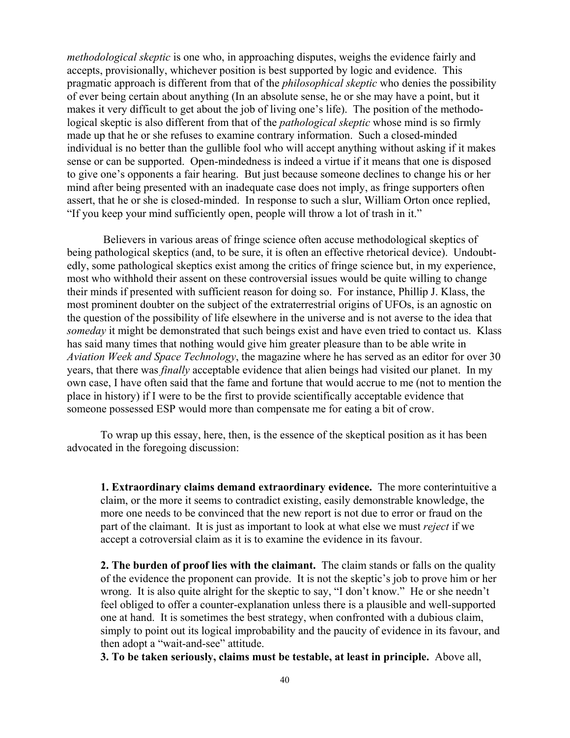*methodological skeptic* is one who, in approaching disputes, weighs the evidence fairly and accepts, provisionally, whichever position is best supported by logic and evidence. This pragmatic approach is different from that of the *philosophical skeptic* who denies the possibility of ever being certain about anything (In an absolute sense, he or she may have a point, but it makes it very difficult to get about the job of living one's life). The position of the methodological skeptic is also different from that of the *pathological skeptic* whose mind is so firmly made up that he or she refuses to examine contrary information. Such a closed-minded individual is no better than the gullible fool who will accept anything without asking if it makes sense or can be supported. Open-mindedness is indeed a virtue if it means that one is disposed to give one's opponents a fair hearing. But just because someone declines to change his or her mind after being presented with an inadequate case does not imply, as fringe supporters often assert, that he or she is closed-minded. In response to such a slur, William Orton once replied, "If you keep your mind sufficiently open, people will throw a lot of trash in it."

 Believers in various areas of fringe science often accuse methodological skeptics of being pathological skeptics (and, to be sure, it is often an effective rhetorical device). Undoubtedly, some pathological skeptics exist among the critics of fringe science but, in my experience, most who withhold their assent on these controversial issues would be quite willing to change their minds if presented with sufficient reason for doing so. For instance, Phillip J. Klass, the most prominent doubter on the subject of the extraterrestrial origins of UFOs, is an agnostic on the question of the possibility of life elsewhere in the universe and is not averse to the idea that *someday* it might be demonstrated that such beings exist and have even tried to contact us. Klass has said many times that nothing would give him greater pleasure than to be able write in *Aviation Week and Space Technology*, the magazine where he has served as an editor for over 30 years, that there was *finally* acceptable evidence that alien beings had visited our planet. In my own case, I have often said that the fame and fortune that would accrue to me (not to mention the place in history) if I were to be the first to provide scientifically acceptable evidence that someone possessed ESP would more than compensate me for eating a bit of crow.

To wrap up this essay, here, then, is the essence of the skeptical position as it has been advocated in the foregoing discussion:

**1. Extraordinary claims demand extraordinary evidence.** The more conterintuitive a claim, or the more it seems to contradict existing, easily demonstrable knowledge, the more one needs to be convinced that the new report is not due to error or fraud on the part of the claimant. It is just as important to look at what else we must *reject* if we accept a cotroversial claim as it is to examine the evidence in its favour.

**2. The burden of proof lies with the claimant.** The claim stands or falls on the quality of the evidence the proponent can provide. It is not the skeptic's job to prove him or her wrong. It is also quite alright for the skeptic to say, "I don't know." He or she needn't feel obliged to offer a counter-explanation unless there is a plausible and well-supported one at hand. It is sometimes the best strategy, when confronted with a dubious claim, simply to point out its logical improbability and the paucity of evidence in its favour, and then adopt a "wait-and-see" attitude.

**3. To be taken seriously, claims must be testable, at least in principle.** Above all,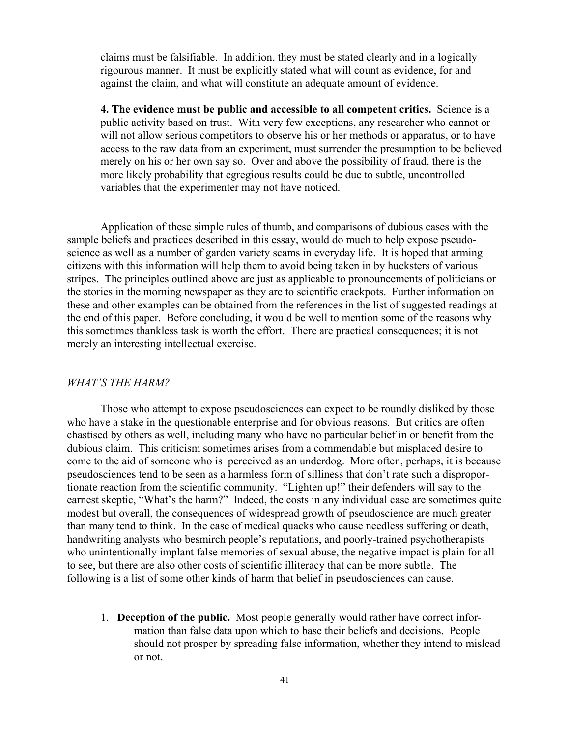claims must be falsifiable. In addition, they must be stated clearly and in a logically rigourous manner. It must be explicitly stated what will count as evidence, for and against the claim, and what will constitute an adequate amount of evidence.

**4. The evidence must be public and accessible to all competent critics.** Science is a public activity based on trust. With very few exceptions, any researcher who cannot or will not allow serious competitors to observe his or her methods or apparatus, or to have access to the raw data from an experiment, must surrender the presumption to be believed merely on his or her own say so. Over and above the possibility of fraud, there is the more likely probability that egregious results could be due to subtle, uncontrolled variables that the experimenter may not have noticed.

Application of these simple rules of thumb, and comparisons of dubious cases with the sample beliefs and practices described in this essay, would do much to help expose pseudoscience as well as a number of garden variety scams in everyday life. It is hoped that arming citizens with this information will help them to avoid being taken in by hucksters of various stripes. The principles outlined above are just as applicable to pronouncements of politicians or the stories in the morning newspaper as they are to scientific crackpots. Further information on these and other examples can be obtained from the references in the list of suggested readings at the end of this paper. Before concluding, it would be well to mention some of the reasons why this sometimes thankless task is worth the effort. There are practical consequences; it is not merely an interesting intellectual exercise.

# *WHAT'S THE HARM?*

Those who attempt to expose pseudosciences can expect to be roundly disliked by those who have a stake in the questionable enterprise and for obvious reasons. But critics are often chastised by others as well, including many who have no particular belief in or benefit from the dubious claim. This criticism sometimes arises from a commendable but misplaced desire to come to the aid of someone who is perceived as an underdog. More often, perhaps, it is because pseudosciences tend to be seen as a harmless form of silliness that don't rate such a disproportionate reaction from the scientific community. "Lighten up!" their defenders will say to the earnest skeptic, "What's the harm?" Indeed, the costs in any individual case are sometimes quite modest but overall, the consequences of widespread growth of pseudoscience are much greater than many tend to think. In the case of medical quacks who cause needless suffering or death, handwriting analysts who besmirch people's reputations, and poorly-trained psychotherapists who unintentionally implant false memories of sexual abuse, the negative impact is plain for all to see, but there are also other costs of scientific illiteracy that can be more subtle. The following is a list of some other kinds of harm that belief in pseudosciences can cause.

1. **Deception of the public.** Most people generally would rather have correct information than false data upon which to base their beliefs and decisions. People should not prosper by spreading false information, whether they intend to mislead or not.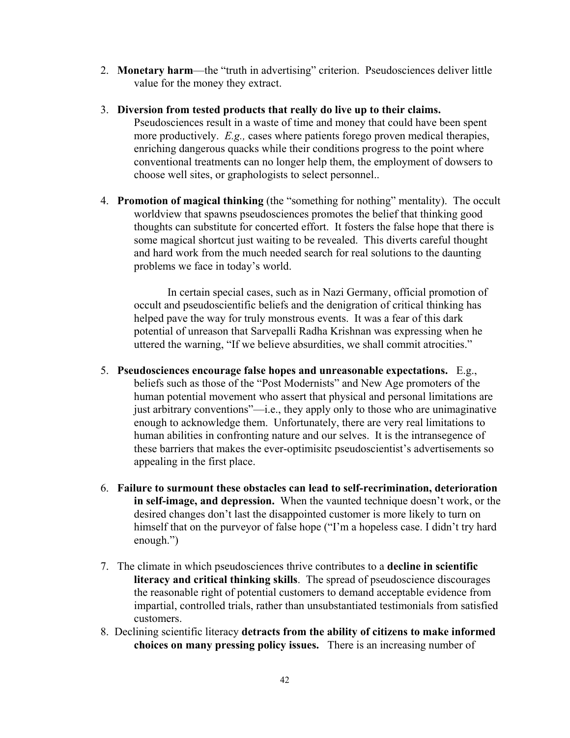- 2. **Monetary harm**—the "truth in advertising" criterion. Pseudosciences deliver little value for the money they extract.
- 3. **Diversion from tested products that really do live up to their claims.** Pseudosciences result in a waste of time and money that could have been spent more productively. *E.g.,* cases where patients forego proven medical therapies, enriching dangerous quacks while their conditions progress to the point where conventional treatments can no longer help them, the employment of dowsers to choose well sites, or graphologists to select personnel..
- 4. **Promotion of magical thinking** (the "something for nothing" mentality). The occult worldview that spawns pseudosciences promotes the belief that thinking good thoughts can substitute for concerted effort. It fosters the false hope that there is some magical shortcut just waiting to be revealed. This diverts careful thought and hard work from the much needed search for real solutions to the daunting problems we face in today's world.

In certain special cases, such as in Nazi Germany, official promotion of occult and pseudoscientific beliefs and the denigration of critical thinking has helped pave the way for truly monstrous events. It was a fear of this dark potential of unreason that Sarvepalli Radha Krishnan was expressing when he uttered the warning, "If we believe absurdities, we shall commit atrocities."

- 5. **Pseudosciences encourage false hopes and unreasonable expectations.** E.g., beliefs such as those of the "Post Modernists" and New Age promoters of the human potential movement who assert that physical and personal limitations are just arbitrary conventions"—i.e., they apply only to those who are unimaginative enough to acknowledge them. Unfortunately, there are very real limitations to human abilities in confronting nature and our selves. It is the intransegence of these barriers that makes the ever-optimisitc pseudoscientist's advertisements so appealing in the first place.
- 6. **Failure to surmount these obstacles can lead to self-recrimination, deterioration in self-image, and depression.** When the vaunted technique doesn't work, or the desired changes don't last the disappointed customer is more likely to turn on himself that on the purveyor of false hope ("I'm a hopeless case. I didn't try hard enough.")
- 7. The climate in which pseudosciences thrive contributes to a **decline in scientific literacy and critical thinking skills**. The spread of pseudoscience discourages the reasonable right of potential customers to demand acceptable evidence from impartial, controlled trials, rather than unsubstantiated testimonials from satisfied customers.
- 8. Declining scientific literacy **detracts from the ability of citizens to make informed choices on many pressing policy issues.** There is an increasing number of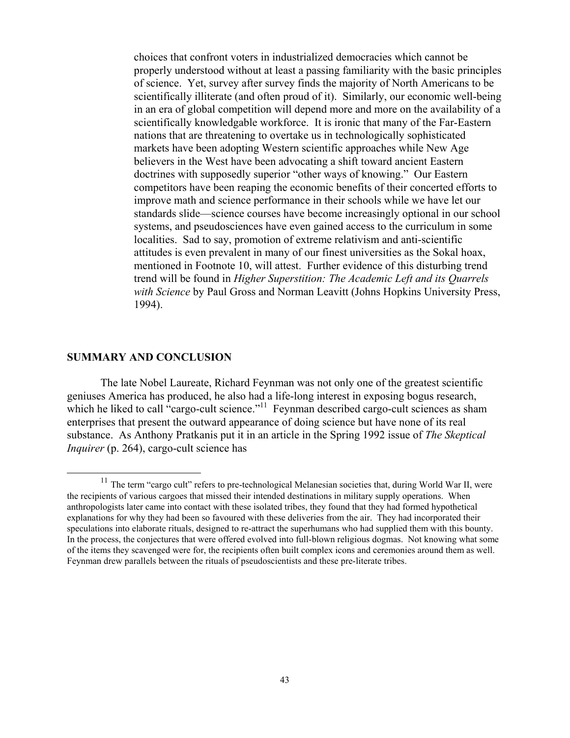choices that confront voters in industrialized democracies which cannot be properly understood without at least a passing familiarity with the basic principles of science. Yet, survey after survey finds the majority of North Americans to be scientifically illiterate (and often proud of it). Similarly, our economic well-being in an era of global competition will depend more and more on the availability of a scientifically knowledgable workforce. It is ironic that many of the Far-Eastern nations that are threatening to overtake us in technologically sophisticated markets have been adopting Western scientific approaches while New Age believers in the West have been advocating a shift toward ancient Eastern doctrines with supposedly superior "other ways of knowing." Our Eastern competitors have been reaping the economic benefits of their concerted efforts to improve math and science performance in their schools while we have let our standards slide—science courses have become increasingly optional in our school systems, and pseudosciences have even gained access to the curriculum in some localities. Sad to say, promotion of extreme relativism and anti-scientific attitudes is even prevalent in many of our finest universities as the Sokal hoax, mentioned in Footnote 10, will attest. Further evidence of this disturbing trend trend will be found in *Higher Superstition: The Academic Left and its Quarrels with Science* by Paul Gross and Norman Leavitt (Johns Hopkins University Press, 1994).

# **SUMMARY AND CONCLUSION**

The late Nobel Laureate, Richard Feynman was not only one of the greatest scientific geniuses America has produced, he also had a life-long interest in exposing bogus research, which he liked to call "cargo-cult science."<sup>11</sup> Feynman described cargo-cult sciences as sham enterprises that present the outward appearance of doing science but have none of its real substance. As Anthony Pratkanis put it in an article in the Spring 1992 issue of *The Skeptical Inquirer* (p. 264), cargo-cult science has

 $11$  The term "cargo cult" refers to pre-technological Melanesian societies that, during World War II, were the recipients of various cargoes that missed their intended destinations in military supply operations. When anthropologists later came into contact with these isolated tribes, they found that they had formed hypothetical explanations for why they had been so favoured with these deliveries from the air. They had incorporated their speculations into elaborate rituals, designed to re-attract the superhumans who had supplied them with this bounty. In the process, the conjectures that were offered evolved into full-blown religious dogmas. Not knowing what some of the items they scavenged were for, the recipients often built complex icons and ceremonies around them as well. Feynman drew parallels between the rituals of pseudoscientists and these pre-literate tribes.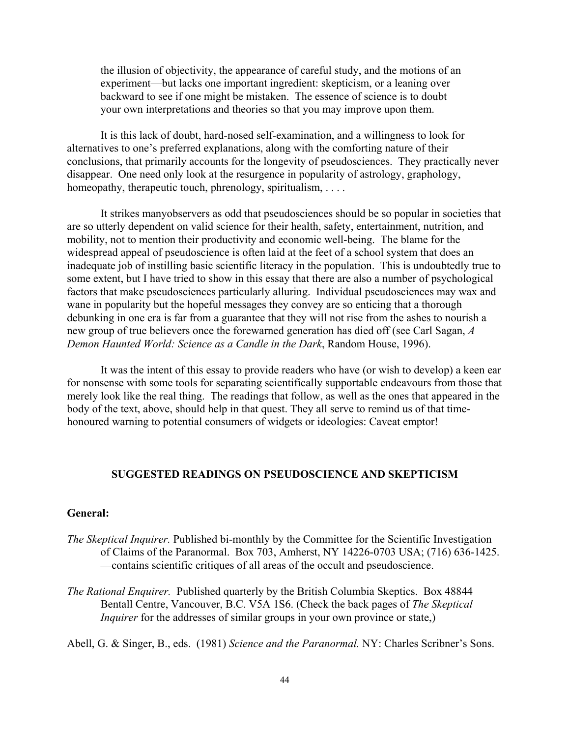the illusion of objectivity, the appearance of careful study, and the motions of an experiment—but lacks one important ingredient: skepticism, or a leaning over backward to see if one might be mistaken. The essence of science is to doubt your own interpretations and theories so that you may improve upon them.

It is this lack of doubt, hard-nosed self-examination, and a willingness to look for alternatives to one's preferred explanations, along with the comforting nature of their conclusions, that primarily accounts for the longevity of pseudosciences. They practically never disappear. One need only look at the resurgence in popularity of astrology, graphology, homeopathy, therapeutic touch, phrenology, spiritualism, . . . .

It strikes manyobservers as odd that pseudosciences should be so popular in societies that are so utterly dependent on valid science for their health, safety, entertainment, nutrition, and mobility, not to mention their productivity and economic well-being. The blame for the widespread appeal of pseudoscience is often laid at the feet of a school system that does an inadequate job of instilling basic scientific literacy in the population. This is undoubtedly true to some extent, but I have tried to show in this essay that there are also a number of psychological factors that make pseudosciences particularly alluring. Individual pseudosciences may wax and wane in popularity but the hopeful messages they convey are so enticing that a thorough debunking in one era is far from a guarantee that they will not rise from the ashes to nourish a new group of true believers once the forewarned generation has died off (see Carl Sagan, *A Demon Haunted World: Science as a Candle in the Dark*, Random House, 1996).

It was the intent of this essay to provide readers who have (or wish to develop) a keen ear for nonsense with some tools for separating scientifically supportable endeavours from those that merely look like the real thing. The readings that follow, as well as the ones that appeared in the body of the text, above, should help in that quest. They all serve to remind us of that timehonoured warning to potential consumers of widgets or ideologies: Caveat emptor!

# **SUGGESTED READINGS ON PSEUDOSCIENCE AND SKEPTICISM**

# **General:**

- *The Skeptical Inquirer.* Published bi-monthly by the Committee for the Scientific Investigation of Claims of the Paranormal. Box 703, Amherst, NY 14226-0703 USA; (716) 636-1425. —contains scientific critiques of all areas of the occult and pseudoscience.
- *The Rational Enquirer.* Published quarterly by the British Columbia Skeptics. Box 48844 Bentall Centre, Vancouver, B.C. V5A 1S6. (Check the back pages of *The Skeptical Inquirer* for the addresses of similar groups in your own province or state,)

Abell, G. & Singer, B., eds. (1981) *Science and the Paranormal.* NY: Charles Scribner's Sons.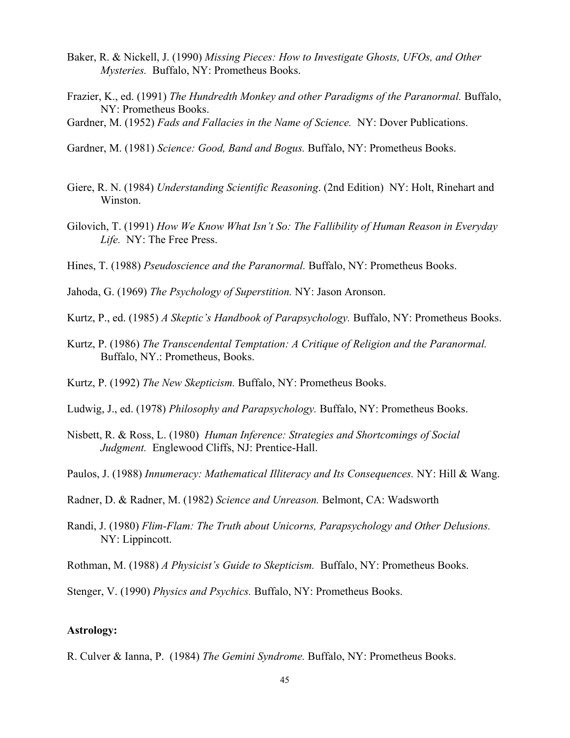- Baker, R. & Nickell, J. (1990) *Missing Pieces: How to Investigate Ghosts, UFOs, and Other Mysteries.* Buffalo, NY: Prometheus Books.
- Frazier, K., ed. (1991) *The Hundredth Monkey and other Paradigms of the Paranormal.* Buffalo, NY: Prometheus Books.
- Gardner, M. (1952) *Fads and Fallacies in the Name of Science.* NY: Dover Publications.
- Gardner, M. (1981) *Science: Good, Band and Bogus.* Buffalo, NY: Prometheus Books.
- Giere, R. N. (1984) *Understanding Scientific Reasoning*. (2nd Edition) NY: Holt, Rinehart and Winston.
- Gilovich, T. (1991) *How We Know What Isn't So: The Fallibility of Human Reason in Everyday Life.* NY: The Free Press.
- Hines, T. (1988) *Pseudoscience and the Paranormal.* Buffalo, NY: Prometheus Books.
- Jahoda, G. (1969) *The Psychology of Superstition.* NY: Jason Aronson.
- Kurtz, P., ed. (1985) *A Skeptic's Handbook of Parapsychology.* Buffalo, NY: Prometheus Books.
- Kurtz, P. (1986) *The Transcendental Temptation: A Critique of Religion and the Paranormal.* Buffalo, NY.: Prometheus, Books.
- Kurtz, P. (1992) *The New Skepticism.* Buffalo, NY: Prometheus Books.
- Ludwig, J., ed. (1978) *Philosophy and Parapsychology.* Buffalo, NY: Prometheus Books.
- Nisbett, R. & Ross, L. (1980) *Human Inference: Strategies and Shortcomings of Social Judgment.* Englewood Cliffs, NJ: Prentice-Hall.
- Paulos, J. (1988) *Innumeracy: Mathematical Illiteracy and Its Consequences.* NY: Hill & Wang.
- Radner, D. & Radner, M. (1982) *Science and Unreason.* Belmont, CA: Wadsworth
- Randi, J. (1980) *Flim-Flam: The Truth about Unicorns, Parapsychology and Other Delusions.* NY: Lippincott.
- Rothman, M. (1988) *A Physicist's Guide to Skepticism.* Buffalo, NY: Prometheus Books.
- Stenger, V. (1990) *Physics and Psychics.* Buffalo, NY: Prometheus Books.

# **Astrology:**

R. Culver & Ianna, P. (1984) *The Gemini Syndrome.* Buffalo, NY: Prometheus Books.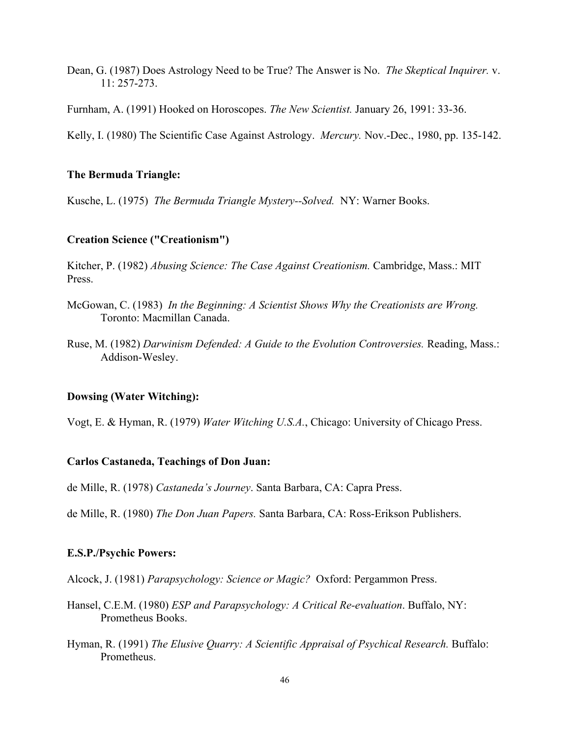- Dean, G. (1987) Does Astrology Need to be True? The Answer is No. *The Skeptical Inquirer.* v. 11: 257-273.
- Furnham, A. (1991) Hooked on Horoscopes. *The New Scientist.* January 26, 1991: 33-36.

Kelly, I. (1980) The Scientific Case Against Astrology. *Mercury.* Nov.-Dec., 1980, pp. 135-142.

### **The Bermuda Triangle:**

Kusche, L. (1975) *The Bermuda Triangle Mystery--Solved.* NY: Warner Books.

## **Creation Science ("Creationism")**

Kitcher, P. (1982) *Abusing Science: The Case Against Creationism.* Cambridge, Mass.: MIT Press.

- McGowan, C. (1983) *In the Beginning: A Scientist Shows Why the Creationists are Wrong.* Toronto: Macmillan Canada.
- Ruse, M. (1982) *Darwinism Defended: A Guide to the Evolution Controversies.* Reading, Mass.: Addison-Wesley.

# **Dowsing (Water Witching):**

Vogt, E. & Hyman, R. (1979) *Water Witching U.S.A.*, Chicago: University of Chicago Press.

### **Carlos Castaneda, Teachings of Don Juan:**

de Mille, R. (1978) *Castaneda's Journey*. Santa Barbara, CA: Capra Press.

de Mille, R. (1980) *The Don Juan Papers.* Santa Barbara, CA: Ross-Erikson Publishers.

# **E.S.P./Psychic Powers:**

Alcock, J. (1981) *Parapsychology: Science or Magic?* Oxford: Pergammon Press.

- Hansel, C.E.M. (1980) *ESP and Parapsychology: A Critical Re-evaluation*. Buffalo, NY: Prometheus Books.
- Hyman, R. (1991) *The Elusive Quarry: A Scientific Appraisal of Psychical Research.* Buffalo: Prometheus.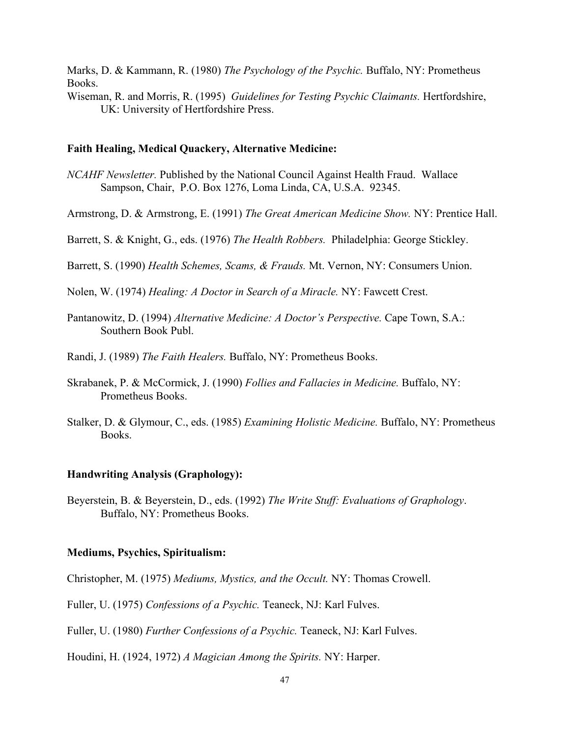Marks, D. & Kammann, R. (1980) *The Psychology of the Psychic.* Buffalo, NY: Prometheus Books.

Wiseman, R. and Morris, R. (1995) *Guidelines for Testing Psychic Claimants.* Hertfordshire, UK: University of Hertfordshire Press.

# **Faith Healing, Medical Quackery, Alternative Medicine:**

- *NCAHF Newsletter.* Published by the National Council Against Health Fraud. Wallace Sampson, Chair, P.O. Box 1276, Loma Linda, CA, U.S.A. 92345.
- Armstrong, D. & Armstrong, E. (1991) *The Great American Medicine Show.* NY: Prentice Hall.

Barrett, S. & Knight, G., eds. (1976) *The Health Robbers.* Philadelphia: George Stickley.

Barrett, S. (1990) *Health Schemes, Scams, & Frauds.* Mt. Vernon, NY: Consumers Union.

- Nolen, W. (1974) *Healing: A Doctor in Search of a Miracle.* NY: Fawcett Crest.
- Pantanowitz, D. (1994) *Alternative Medicine: A Doctor's Perspective.* Cape Town, S.A.: Southern Book Publ.
- Randi, J. (1989) *The Faith Healers.* Buffalo, NY: Prometheus Books.
- Skrabanek, P. & McCormick, J. (1990) *Follies and Fallacies in Medicine.* Buffalo, NY: Prometheus Books.
- Stalker, D. & Glymour, C., eds. (1985) *Examining Holistic Medicine.* Buffalo, NY: Prometheus Books.

#### **Handwriting Analysis (Graphology):**

Beyerstein, B. & Beyerstein, D., eds. (1992) *The Write Stuff: Evaluations of Graphology*. Buffalo, NY: Prometheus Books.

# **Mediums, Psychics, Spiritualism:**

Christopher, M. (1975) *Mediums, Mystics, and the Occult.* NY: Thomas Crowell.

Fuller, U. (1975) *Confessions of a Psychic.* Teaneck, NJ: Karl Fulves.

Fuller, U. (1980) *Further Confessions of a Psychic.* Teaneck, NJ: Karl Fulves.

Houdini, H. (1924, 1972) *A Magician Among the Spirits.* NY: Harper.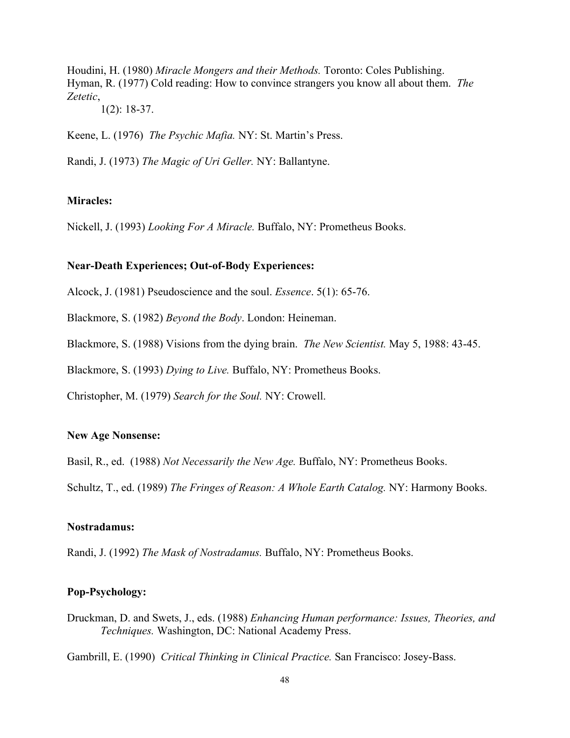Houdini, H. (1980) *Miracle Mongers and their Methods.* Toronto: Coles Publishing. Hyman, R. (1977) Cold reading: How to convince strangers you know all about them. *The Zetetic*,

1(2): 18-37.

Keene, L. (1976) *The Psychic Mafia.* NY: St. Martin's Press.

Randi, J. (1973) *The Magic of Uri Geller.* NY: Ballantyne.

# **Miracles:**

Nickell, J. (1993) *Looking For A Miracle.* Buffalo, NY: Prometheus Books.

# **Near-Death Experiences; Out-of-Body Experiences:**

Alcock, J. (1981) Pseudoscience and the soul. *Essence*. 5(1): 65-76.

Blackmore, S. (1982) *Beyond the Body*. London: Heineman.

Blackmore, S. (1988) Visions from the dying brain. *The New Scientist.* May 5, 1988: 43-45.

Blackmore, S. (1993) *Dying to Live.* Buffalo, NY: Prometheus Books.

Christopher, M. (1979) *Search for the Soul.* NY: Crowell.

# **New Age Nonsense:**

Basil, R., ed. (1988) *Not Necessarily the New Age.* Buffalo, NY: Prometheus Books.

Schultz, T., ed. (1989) *The Fringes of Reason: A Whole Earth Catalog.* NY: Harmony Books.

# **Nostradamus:**

Randi, J. (1992) *The Mask of Nostradamus.* Buffalo, NY: Prometheus Books.

# **Pop-Psychology:**

Druckman, D. and Swets, J., eds. (1988) *Enhancing Human performance: Issues, Theories, and Techniques.* Washington, DC: National Academy Press.

Gambrill, E. (1990) *Critical Thinking in Clinical Practice.* San Francisco: Josey-Bass.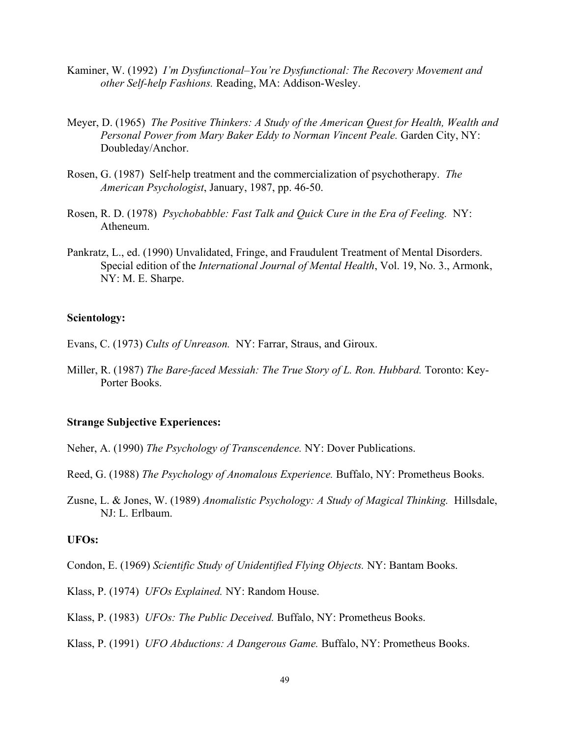- Kaminer, W. (1992) *I'm Dysfunctional–You're Dysfunctional: The Recovery Movement and other Self-help Fashions.* Reading, MA: Addison-Wesley.
- Meyer, D. (1965) *The Positive Thinkers: A Study of the American Quest for Health, Wealth and Personal Power from Mary Baker Eddy to Norman Vincent Peale.* Garden City, NY: Doubleday/Anchor.
- Rosen, G. (1987) Self-help treatment and the commercialization of psychotherapy. *The American Psychologist*, January, 1987, pp. 46-50.
- Rosen, R. D. (1978) *Psychobabble: Fast Talk and Quick Cure in the Era of Feeling.* NY: Atheneum.
- Pankratz, L., ed. (1990) Unvalidated, Fringe, and Fraudulent Treatment of Mental Disorders. Special edition of the *International Journal of Mental Health*, Vol. 19, No. 3., Armonk, NY: M. E. Sharpe.

# **Scientology:**

- Evans, C. (1973) *Cults of Unreason.* NY: Farrar, Straus, and Giroux.
- Miller, R. (1987) *The Bare-faced Messiah: The True Story of L. Ron. Hubbard.* Toronto: Key-Porter Books.

# **Strange Subjective Experiences:**

- Neher, A. (1990) *The Psychology of Transcendence.* NY: Dover Publications.
- Reed, G. (1988) *The Psychology of Anomalous Experience.* Buffalo, NY: Prometheus Books.
- Zusne, L. & Jones, W. (1989) *Anomalistic Psychology: A Study of Magical Thinking.* Hillsdale, NJ: L. Erlbaum.

### **UFOs:**

Condon, E. (1969) *Scientific Study of Unidentified Flying Objects.* NY: Bantam Books.

Klass, P. (1974) *UFOs Explained.* NY: Random House.

Klass, P. (1983) *UFOs: The Public Deceived.* Buffalo, NY: Prometheus Books.

Klass, P. (1991) *UFO Abductions: A Dangerous Game.* Buffalo, NY: Prometheus Books.